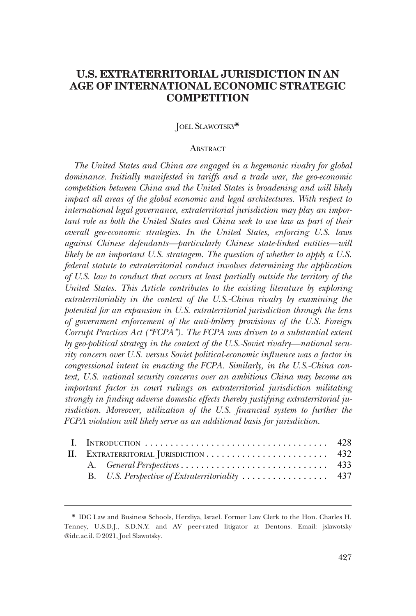# **U.S. EXTRATERRITORIAL JURISDICTION IN AN AGE OF INTERNATIONAL ECONOMIC STRATEGIC COMPETITION**

### JOEL SLAWOTSKY\*

#### **ABSTRACT**

*The United States and China are engaged in a hegemonic rivalry for global dominance. Initially manifested in tariffs and a trade war, the geo-economic competition between China and the United States is broadening and will likely impact all areas of the global economic and legal architectures. With respect to international legal governance, extraterritorial jurisdiction may play an important role as both the United States and China seek to use law as part of their overall geo-economic strategies. In the United States, enforcing U.S. laws against Chinese defendants—particularly Chinese state-linked entities—will likely be an important U.S. stratagem. The question of whether to apply a U.S. federal statute to extraterritorial conduct involves determining the application of U.S. law to conduct that occurs at least partially outside the territory of the United States. This Article contributes to the existing literature by exploring extraterritoriality in the context of the U.S.-China rivalry by examining the potential for an expansion in U.S. extraterritorial jurisdiction through the lens of government enforcement of the anti-bribery provisions of the U.S. Foreign Corrupt Practices Act ("FCPA"). The FCPA was driven to a substantial extent by geo-political strategy in the context of the U.S.-Soviet rivalry—national security concern over U.S. versus Soviet political-economic influence was a factor in congressional intent in enacting the FCPA. Similarly, in the U.S.-China context, U.S. national security concerns over an ambitious China may become an important factor in court rulings on extraterritorial jurisdiction militating strongly in finding adverse domestic effects thereby justifying extraterritorial jurisdiction. Moreover, utilization of the U.S. financial system to further the FCPA violation will likely serve as an additional basis for jurisdiction.* 

| II. EXTRATERRITORIAL JURISDICTION  432 |  |  |
|----------------------------------------|--|--|
|                                        |  |  |
|                                        |  |  |

<sup>\*</sup> IDC Law and Business Schools, Herzliya, Israel. Former Law Clerk to the Hon. Charles H. Tenney, U.S.D.J., S.D.N.Y. and AV peer-rated litigator at Dentons. Email: jslawotsky @idc.ac.il. © 2021, Joel Slawotsky.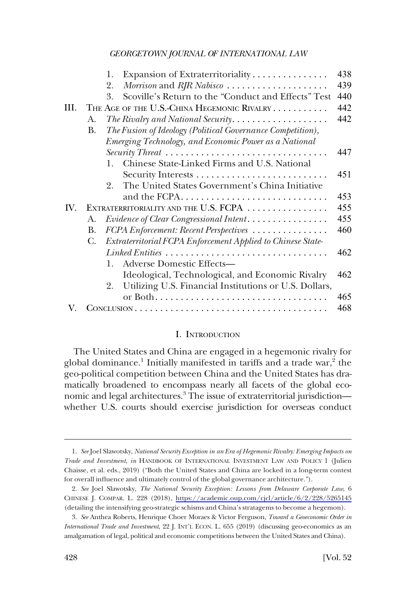<span id="page-1-0"></span>

|      |    | Expansion of Extraterritoriality<br>1.                       | 438 |
|------|----|--------------------------------------------------------------|-----|
|      |    | Morrison and RJR Nabisco<br>2.                               | 439 |
|      |    | Scoville's Return to the "Conduct and Effects" Test<br>3.    | 440 |
| III. |    | THE AGE OF THE U.S.-CHINA HEGEMONIC RIVALRY                  | 442 |
|      | A. | The Rivalry and National Security                            | 442 |
|      | B. | The Fusion of Ideology (Political Governance Competition),   |     |
|      |    | Emerging Technology, and Economic Power as a National        |     |
|      |    | Security Threat                                              | 447 |
|      |    | Chinese State-Linked Firms and U.S. National<br>$\mathbf{1}$ |     |
|      |    |                                                              | 451 |
|      |    | The United States Government's China Initiative<br>2.        |     |
|      |    | and the FCPA                                                 | 453 |
| IV.  |    | EXTRATERRITORIALITY AND THE U.S. FCPA                        | 455 |
|      | A. | Evidence of Clear Congressional Intent                       | 455 |
|      | B. | FCPA Enforcement: Recent Perspectives                        | 460 |
|      | C. | Extraterritorial FCPA Enforcement Applied to Chinese State-  |     |
|      |    |                                                              | 462 |
|      |    | <b>Adverse Domestic Effects-</b><br>$\mathbf{1}$             |     |
|      |    | Ideological, Technological, and Economic Rivalry             | 462 |
|      |    | 2. Utilizing U.S. Financial Institutions or U.S. Dollars,    |     |
|      |    |                                                              | 465 |
|      |    |                                                              | 468 |

#### I. INTRODUCTION

The United States and China are engaged in a hegemonic rivalry for global dominance.<sup>1</sup> Initially manifested in tariffs and a trade war,<sup>2</sup> the geo-political competition between China and the United States has dramatically broadened to encompass nearly all facets of the global economic and legal architectures.<sup>3</sup> The issue of extraterritorial jurisdiction whether U.S. courts should exercise jurisdiction for overseas conduct

<sup>1.</sup> *See* Joel Slawotsky, *National Security Exception in an Era of Hegemonic Rivalry: Emerging Impacts on Trade and Investment*, *in* HANDBOOK OF INTERNATIONAL INVESTMENT LAW AND POLICY 1 (Julien Chaisse, et al. eds., 2019) ("Both the United States and China are locked in a long-term contest for overall influence and ultimately control of the global governance architecture.").

*See* Joel Slawotsky, *The National Security Exception: Lessons from Delaware Corporate Law*, 6 2. CHINESE J. COMPAR. L. 228 (2018), <https://academic.oup.com/cjcl/article/6/2/228/5265145> (detailing the intensifying geo-strategic schisms and China's stratagems to become a hegemon).

<sup>3.</sup> *See* Anthea Roberts, Henrique Choer Moraes & Victor Ferguson, *Toward a Geoeconomic Order in International Trade and Investment*, 22 J. INT'L ECON. L. 655 (2019) (discussing geo-economics as an amalgamation of legal, political and economic competitions between the United States and China).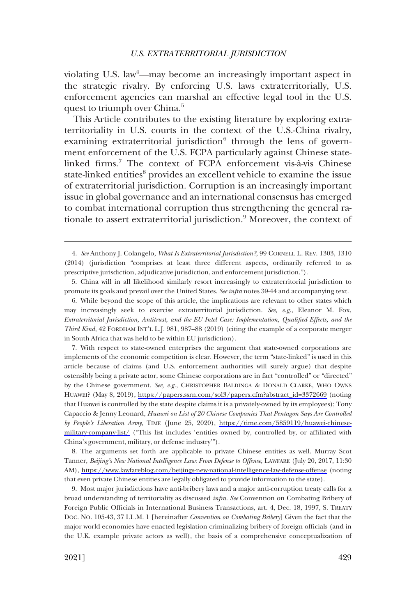violating U.S. law<sup>4</sup>—may become an increasingly important aspect in the strategic rivalry. By enforcing U.S. laws extraterritorially, U.S. enforcement agencies can marshal an effective legal tool in the U.S. quest to triumph over China.<sup>5</sup>

This Article contributes to the existing literature by exploring extraterritoriality in U.S. courts in the context of the U.S.-China rivalry, examining extraterritorial jurisdiction $6$  through the lens of government enforcement of the U.S. FCPA particularly against Chinese statelinked firms.<sup>7</sup> The context of FCPA enforcement vis-à-vis Chinese state-linked entities<sup>8</sup> provides an excellent vehicle to examine the issue of extraterritorial jurisdiction. Corruption is an increasingly important issue in global governance and an international consensus has emerged to combat international corruption thus strengthening the general rationale to assert extraterritorial jurisdiction.<sup>9</sup> Moreover, the context of

6. While beyond the scope of this article, the implications are relevant to other states which may increasingly seek to exercise extraterritorial jurisdiction. *See, e.g.*, Eleanor M. Fox, *Extraterritorial Jurisdiction, Antitrust, and the EU Intel Case: Implementation, Qualified Effects, and the Third Kind*, 42 FORDHAM INT'L L.J. 981, 987–88 (2019) (citing the example of a corporate merger in South Africa that was held to be within EU jurisdiction).

7. With respect to state-owned enterprises the argument that state-owned corporations are implements of the economic competition is clear. However, the term "state-linked" is used in this article because of claims (and U.S. enforcement authorities will surely argue) that despite ostensibly being a private actor, some Chinese corporations are in fact "controlled" or "directed" by the Chinese government. *See, e.g.*, CHRISTOPHER BALDINGA & DONALD CLARKE, WHO OWNS HUAWEI? (May 8, 2019), [https://papers.ssrn.com/sol3/papers.cfm?abstract\\_id=3372669](https://papers.ssrn.com/sol3/papers.cfm?abstract_id=3372669) (noting that Huawei is controlled by the state despite claims it is a privately-owned by its employees); Tony Capaccio & Jenny Leonard, *Huawei on List of 20 Chinese Companies That Pentagon Says Are Controlled by People's Liberation Army*, TIME (June 25, 2020), [https://time.com/5859119/huawei-chinese](https://time.com/5859119/huawei-chinese-military-company-list/)[military-company-list/](https://time.com/5859119/huawei-chinese-military-company-list/) ("This list includes 'entities owned by, controlled by, or affiliated with China's government, military, or defense industry'").

8. The arguments set forth are applicable to private Chinese entities as well. Murray Scot Tanner, *Beijing's New National Intelligence Law: From Defense to Offense*, LAWFARE (July 20, 2017, 11:30 AM), <https://www.lawfareblog.com/beijings-new-national-intelligence-law-defense-offense> (noting that even private Chinese entities are legally obligated to provide information to the state).

9. Most major jurisdictions have anti-bribery laws and a major anti-corruption treaty calls for a broad understanding of territoriality as discussed *infra*. *See* Convention on Combating Bribery of Foreign Public Officials in International Business Transactions, art. 4, Dec. 18, 1997, S. TREATY DOC. NO. 105-43, 37 I.L.M. 1 [hereinafter *Convention on Combating Bribery*] Given the fact that the major world economies have enacted legislation criminalizing bribery of foreign officials (and in the U.K. example private actors as well), the basis of a comprehensive conceptualization of

<sup>4.</sup> *See* Anthony J. Colangelo, *What Is Extraterritorial Jurisdiction?*, 99 CORNELL L. REV. 1303, 1310 (2014) (jurisdiction "comprises at least three different aspects, ordinarily referred to as prescriptive jurisdiction, adjudicative jurisdiction, and enforcement jurisdiction.").

<sup>5.</sup> China will in all likelihood similarly resort increasingly to extraterritorial jurisdiction to promote its goals and prevail over the United States. *See infra* notes 39-44 and accompanying text.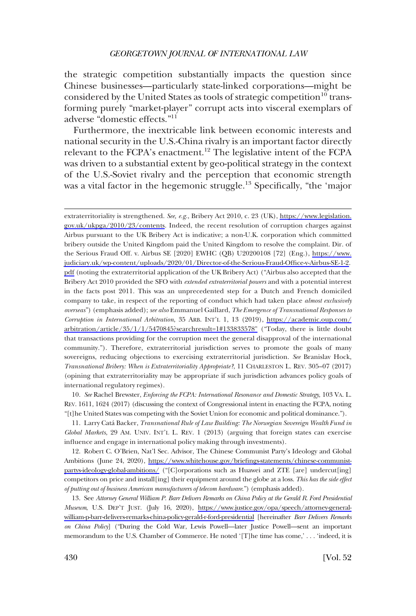the strategic competition substantially impacts the question since Chinese businesses—particularly state-linked corporations—might be considered by the United States as tools of strategic competition<sup>10</sup> transforming purely "market-player" corrupt acts into visceral exemplars of adverse "domestic effects."11

Furthermore, the inextricable link between economic interests and national security in the U.S.-China rivalry is an important factor directly relevant to the FCPA's enactment.<sup>12</sup> The legislative intent of the FCPA was driven to a substantial extent by geo-political strategy in the context of the U.S.-Soviet rivalry and the perception that economic strength was a vital factor in the hegemonic struggle.<sup>13</sup> Specifically, "the 'major

extraterritoriality is strengthened. *See, e.g.*, Bribery Act 2010, c. 23 (UK), [https://www.legislation.](https://www.legislation.gov.uk/ukpga/2010/23/contents) [gov.uk/ukpga/2010/23/contents.](https://www.legislation.gov.uk/ukpga/2010/23/contents) Indeed, the recent resolution of corruption charges against Airbus pursuant to the UK Bribery Act is indicative; a non-U.K. corporation which committed bribery outside the United Kingdom paid the United Kingdom to resolve the complaint. Dir. of the Serious Fraud Off. v. Airbus SE [2020] EWHC (QB) U20200108 [72] (Eng.), [https://www.](https://www.judiciary.uk/wp-content/uploads/2020/01/Director-of-the-Serious-Fraud-Office-v-Airbus-SE-1-2.pdf) [judiciary.uk/wp-content/uploads/2020/01/Director-of-the-Serious-Fraud-Office-v-Airbus-SE-1-2.](https://www.judiciary.uk/wp-content/uploads/2020/01/Director-of-the-Serious-Fraud-Office-v-Airbus-SE-1-2.pdf) [pdf](https://www.judiciary.uk/wp-content/uploads/2020/01/Director-of-the-Serious-Fraud-Office-v-Airbus-SE-1-2.pdf) (noting the extraterritorial application of the UK Bribery Act) ("Airbus also accepted that the Bribery Act 2010 provided the SFO with *extended extraterritorial powers* and with a potential interest in the facts post 2011. This was an unprecedented step for a Dutch and French domiciled company to take, in respect of the reporting of conduct which had taken place *almost exclusively overseas*") (emphasis added); *see also* Emmanuel Gaillard, *The Emergence of Transnational Responses to Corruption in International Arbitration*, 35 ARB. INT'L 1, 13 (2019), [https://academic.oup.com/](https://academic.oup.com/arbitration/article/35/1/1/5470845?searchresult=1#133833578") [arbitration/article/35/1/1/5470845?searchresult=1#133833578"](https://academic.oup.com/arbitration/article/35/1/1/5470845?searchresult=1#133833578") ("Today, there is little doubt that transactions providing for the corruption meet the general disapproval of the international community."). Therefore, extraterritorial jurisdiction serves to promote the goals of many sovereigns, reducing objections to exercising extraterritorial jurisdiction. *See* Branislav Hock, *Transnational Bribery: When is Extraterritoriality Appropriate?*, 11 CHARLESTON L. REV. 305–07 (2017) (opining that extraterritoriality may be appropriate if such jurisdiction advances policy goals of international regulatory regimes).

10. *See* Rachel Brewster, *Enforcing the FCPA: International Resonance and Domestic Strategy*, 103 VA. L. REV. 1611, 1624 (2017) (discussing the context of Congressional intent in enacting the FCPA, noting "[t]he United States was competing with the Soviet Union for economic and political dominance.").

11. Larry Cata´ Backer, *Transnational Rule of Law Building: The Norwegian Sovereign Wealth Fund in Global Markets*, 29 AM. UNIV. INT'L L. REV. 1 (2013) (arguing that foreign states can exercise influence and engage in international policy making through investments).

12. Robert C. O'Brien, Nat'l Sec. Advisor, The Chinese Communist Party's Ideology and Global Ambitions (June 24, 2020), [https://www.whitehouse.gov/briefings-statements/chinese-communist](https://www.whitehouse.gov/briefings-statements/chinese-communist-partys-ideology-global-ambitions/)[partys-ideology-global-ambitions/](https://www.whitehouse.gov/briefings-statements/chinese-communist-partys-ideology-global-ambitions/) ("[C]orporations such as Huawei and ZTE [are] undercut[ing] competitors on price and install[ing] their equipment around the globe at a loss. *This has the side effect of putting out of business American manufacturers of telecom hardware*.") (emphasis added).

13. See *Attorney General William P. Barr Delivers Remarks on China Policy at the Gerald R. Ford Presidential Museum*, U.S. DEP'T JUST. (July 16, 2020), [https://www.justice.gov/opa/speech/attorney-general](https://www.justice.gov/opa/speech/attorney-general-william-p-barr-delivers-remarks-china-policy-gerald-r-ford-presidential)[william-p-barr-delivers-remarks-china-policy-gerald-r-ford-presidential](https://www.justice.gov/opa/speech/attorney-general-william-p-barr-delivers-remarks-china-policy-gerald-r-ford-presidential) [hereinafter *Barr Delivers Remarks on China Policy*] ("During the Cold War, Lewis Powell—later Justice Powell—sent an important memorandum to the U.S. Chamber of Commerce. He noted '[T]he time has come,' . . . 'indeed, it is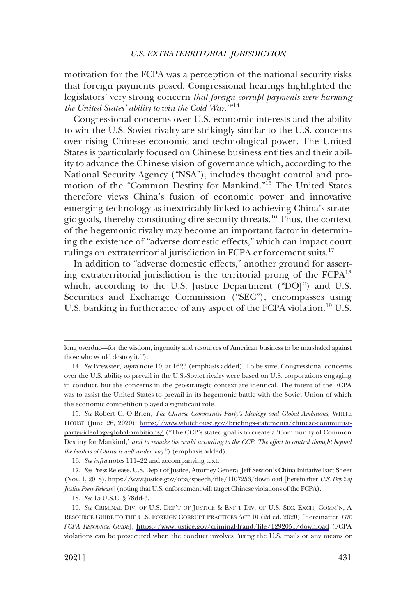motivation for the FCPA was a perception of the national security risks that foreign payments posed. Congressional hearings highlighted the legislators' very strong concern *that foreign corrupt payments were harming the United States' ability to win the Cold War*.'"14

Congressional concerns over U.S. economic interests and the ability to win the U.S.-Soviet rivalry are strikingly similar to the U.S. concerns over rising Chinese economic and technological power. The United States is particularly focused on Chinese business entities and their ability to advance the Chinese vision of governance which, according to the National Security Agency ("NSA"), includes thought control and promotion of the "Common Destiny for Mankind."15 The United States therefore views China's fusion of economic power and innovative emerging technology as inextricably linked to achieving China's strategic goals, thereby constituting dire security threats.16 Thus, the context of the hegemonic rivalry may become an important factor in determining the existence of "adverse domestic effects," which can impact court rulings on extraterritorial jurisdiction in FCPA enforcement suits.<sup>17</sup>

In addition to "adverse domestic effects," another ground for asserting extraterritorial jurisdiction is the territorial prong of the  $FCPA^{18}$ which, according to the U.S. Justice Department ("DOJ") and U.S. Securities and Exchange Commission ("SEC"), encompasses using U.S. banking in furtherance of any aspect of the FCPA violation.<sup>19</sup> U.S.

long overdue—for the wisdom, ingenuity and resources of American business to be marshaled against those who would destroy it.'").

<sup>14.</sup> *See* Brewster, *supra* note 10, at 1623 (emphasis added). To be sure, Congressional concerns over the U.S. ability to prevail in the U.S.-Soviet rivalry were based on U.S. corporations engaging in conduct, but the concerns in the geo-strategic context are identical. The intent of the FCPA was to assist the United States to prevail in its hegemonic battle with the Soviet Union of which the economic competition played a significant role.

<sup>15.</sup>  *See* Robert C. O'Brien, *The Chinese Communist Party's Ideology and Global Ambitions*, WHITE HOUSE (June 26, 2020), [https://www.whitehouse.gov/briefings-statements/chinese-communist](https://www.whitehouse.gov/briefings-statements/chinese-communist-partys-ideology-global-ambitions/)[partys-ideology-global-ambitions/](https://www.whitehouse.gov/briefings-statements/chinese-communist-partys-ideology-global-ambitions/) ("The CCP's stated goal is to create a 'Community of Common Destiny for Mankind,' *and to remake the world according to the CCP. The effort to control thought beyond the borders of China is well under way*.") (emphasis added).

<sup>16.</sup> *See infra* notes 111–22 and accompanying text.

<sup>17.</sup>  *See* Press Release, U.S. Dep't of Justice, Attorney General Jeff Session's China Initiative Fact Sheet (Nov. 1, 2018),<https://www.justice.gov/opa/speech/file/1107256/download>[hereinafter *U.S. Dep't of Justice Press Release*] (noting that U.S. enforcement will target Chinese violations of the FCPA).

<sup>18.</sup> *See* 15 U.S.C. § 78dd-3.

<sup>19.</sup>  *See* CRIMINAL DIV. OF U.S. DEP'T OF JUSTICE & ENF'T DIV. OF U.S. SEC. EXCH. COMM'N, A RESOURCE GUIDE TO THE U.S. FOREIGN CORRUPT PRACTICES ACT 10 (2d ed. 2020) [hereinafter *THE FCPA RESOURCE GUIDE*], <https://www.justice.gov/criminal-fraud/file/1292051/download>(FCPA violations can be prosecuted when the conduct involves "using the U.S. mails or any means or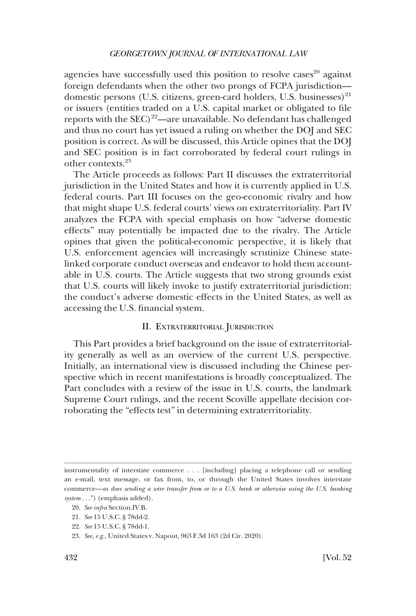<span id="page-5-0"></span>agencies have successfully used this position to resolve cases $20$  against foreign defendants when the other two prongs of FCPA jurisdiction domestic persons (U.S. citizens, green-card holders, U.S. businesses) $^{21}$ or issuers (entities traded on a U.S. capital market or obligated to file reports with the  $SEC)^{22}$ —are unavailable. No defendant has challenged and thus no court has yet issued a ruling on whether the DOJ and SEC position is correct. As will be discussed, this Article opines that the DOJ and SEC position is in fact corroborated by federal court rulings in other contexts.23

The Article proceeds as follows: Part II discusses the extraterritorial jurisdiction in the United States and how it is currently applied in U.S. federal courts. Part III focuses on the geo-economic rivalry and how that might shape U.S. federal courts' views on extraterritoriality. Part IV analyzes the FCPA with special emphasis on how "adverse domestic effects" may potentially be impacted due to the rivalry. The Article opines that given the political-economic perspective, it is likely that U.S. enforcement agencies will increasingly scrutinize Chinese statelinked corporate conduct overseas and endeavor to hold them accountable in U.S. courts. The Article suggests that two strong grounds exist that U.S. courts will likely invoke to justify extraterritorial jurisdiction: the conduct's adverse domestic effects in the United States, as well as accessing the U.S. financial system.

#### II. EXTRATERRITORIAL JURISDICTION

This Part provides a brief background on the issue of extraterritoriality generally as well as an overview of the current U.S. perspective. Initially, an international view is discussed including the Chinese perspective which in recent manifestations is broadly conceptualized. The Part concludes with a review of the issue in U.S. courts, the landmark Supreme Court rulings, and the recent Scoville appellate decision corroborating the "effects test" in determining extraterritoriality.

instrumentality of interstate commerce . . . [including] placing a telephone call or sending an e-mail, text message, or fax from, to, or through the United States involves interstate commerce—*as does sending a wire transfer from or to a U.S. bank or otherwise using the U.S. banking system* . . .") (emphasis added).

<sup>20.</sup> *See infra* Section.IV.B.

<sup>21.</sup> *See* 15 U.S.C. § 78dd-2.

<sup>22.</sup> *See* 15 U.S.C. § 78dd-1.

<sup>23.</sup> *See, e.g.*, United States v. Napout, 963 F.3d 163 (2d Cir. 2020).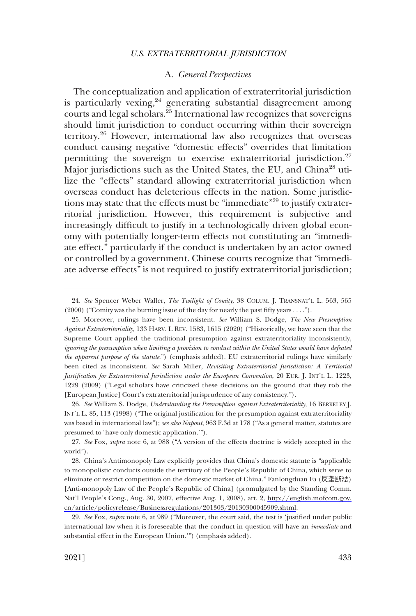### A. *General Perspectives*

<span id="page-6-0"></span>The conceptualization and application of extraterritorial jurisdiction is particularly vexing,<sup>24</sup> generating substantial disagreement among courts and legal scholars.<sup>25</sup> International law recognizes that sovereigns should limit jurisdiction to conduct occurring within their sovereign territory.26 However, international law also recognizes that overseas conduct causing negative "domestic effects" overrides that limitation permitting the sovereign to exercise extraterritorial jurisdiction.<sup>27</sup> Major jurisdictions such as the United States, the EU, and China<sup>28</sup> utilize the "effects" standard allowing extraterritorial jurisdiction when overseas conduct has deleterious effects in the nation. Some jurisdictions may state that the effects must be "immediate"<sup>29</sup> to justify extraterritorial jurisdiction. However, this requirement is subjective and increasingly difficult to justify in a technologically driven global economy with potentially longer-term effects not constituting an "immediate effect," particularly if the conduct is undertaken by an actor owned or controlled by a government. Chinese courts recognize that "immediate adverse effects" is not required to justify extraterritorial jurisdiction;

<sup>24.</sup> *See* Spencer Weber Waller, *The Twilight of Comity*, 38 COLUM. J. TRANSNAT'L L. 563, 565 (2000) ("Comity was the burning issue of the day for nearly the past fifty years . . . .").

<sup>25.</sup> Moreover, rulings have been inconsistent. *See* William S. Dodge, *The New Presumption Against Extraterritoriality*, 133 HARV. L REV. 1583, 1615 (2020) ("Historically, we have seen that the Supreme Court applied the traditional presumption against extraterritoriality inconsistently, *ignoring the presumption when limiting a provision to conduct within the United States would have defeated the apparent purpose of the statute*.") (emphasis added). EU extraterritorial rulings have similarly been cited as inconsistent. *See* Sarah Miller, *Revisiting Extraterritorial Jurisdiction: A Territorial Justification for Extraterritorial Jurisdiction under the European Convention*, 20 EUR. J. INT'L L. 1223, 1229 (2009) ("Legal scholars have criticized these decisions on the ground that they rob the [European Justice] Court's extraterritorial jurisprudence of any consistency.").

<sup>26.</sup> *See* William S. Dodge, *Understanding the Presumption against Extraterritoriality*, 16 BERKELEY J. INT'L L. 85, 113 (1998) ("The original justification for the presumption against extraterritoriality was based in international law"); *see also Napout*, 963 F.3d at 178 ("As a general matter, statutes are presumed to 'have only domestic application.'").

<sup>27.</sup> *See* Fox, *supra* note 6, at 988 ("A version of the effects doctrine is widely accepted in the world").

<sup>28.</sup>  China's Antimonopoly Law explicitly provides that China's domestic statute is "applicable to monopolistic conducts outside the territory of the People's Republic of China, which serve to eliminate or restrict competition on the domestic market of China." Fanlongduan Fa (反垄断法) [Anti-monopoly Law of the People's Republic of China] (promulgated by the Standing Comm. Nat'l People's Cong., Aug. 30, 2007, effective Aug. 1, 2008), art. 2, [http://english.mofcom.gov.](http://english.mofcom.gov.cn/article/policyrelease/Businessregulations/201303/20130300045909.shtml)  [cn/article/policyrelease/Businessregulations/201303/20130300045909.shtml](http://english.mofcom.gov.cn/article/policyrelease/Businessregulations/201303/20130300045909.shtml).

<sup>29.</sup> *See* Fox, *supra* note 6, at 989 ("Moreover, the court said, the test is 'justified under public international law when it is foreseeable that the conduct in question will have an *immediate* and substantial effect in the European Union.'") (emphasis added).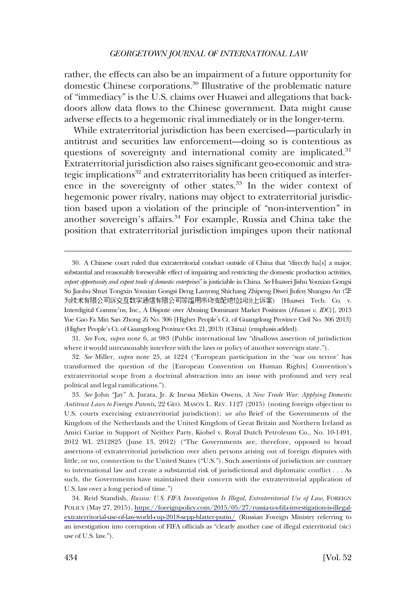rather, the effects can also be an impairment of a future opportunity for domestic Chinese corporations.30 Illustrative of the problematic nature of "immediacy" is the U.S. claims over Huawei and allegations that backdoors allow data flows to the Chinese government. Data might cause adverse effects to a hegemonic rival immediately or in the longer-term.

While extraterritorial jurisdiction has been exercised—particularly in antitrust and securities law enforcement—doing so is contentious as questions of sovereignty and international comity are implicated.<sup>31</sup> Extraterritorial jurisdiction also raises significant geo-economic and strategic implications<sup>32</sup> and extraterritoriality has been critiqued as interference in the sovereignty of other states.<sup>33</sup> In the wider context of hegemonic power rivalry, nations may object to extraterritorial jurisdiction based upon a violation of the principle of "non-intervention" in another sovereign's affairs.<sup>34</sup> For example, Russia and China take the position that extraterritorial jurisdiction impinges upon their national

32. *See* Miller, *supra* note 25, at 1224 ("European participation in the 'war on terror' has transformed the question of the [European Convention on Human Rights] Convention's extraterritorial scope from a doctrinal abstraction into an issue with profound and very real political and legal ramifications.").

33. *See* John "Jay" A. Jurata, Jr. & Inessa Mirkin Owens, *A New Trade War: Applying Domestic Antitrust Laws to Foreign Patents*, 22 GEO. MASON L. REV. 1127 (2015) (noting foreign objection to U.S. courts exercising extraterritorial jurisdiction); *see also* Brief of the Governments of the Kingdom of the Netherlands and the United Kingdom of Great Britain and Northern Ireland as Amici Curiae in Support of Neither Party, Kiobel v. Royal Dutch Petroleum Co., No. 10-1491, 2012 WL 2312825 (June 13, 2012) ("The Governments are, therefore, opposed to broad assertions of extraterritorial jurisdiction over alien persons arising out of foreign disputes with little, or no, connection to the United States ("U.S."). Such assertions of jurisdiction are contrary to international law and create a substantial risk of jurisdictional and diplomatic conflict . . . As such, the Governments have maintained their concern with the extraterritorial application of U.S. law over a long period of time.")

34. Reid Standish, *Russia: U.S. FIFA Investigation Is Illegal, Extraterritorial Use of Law, FOREIGN* POLICY (May 27, 2015), [https://foreignpolicy.com/2015/05/27/russia-u-s-fifa-investigation-is-illegal](https://foreignpolicy.com/2015/05/27/russia-u-s-fifa-investigation-is-illegal-extraterritorial-use-of-law-world-cup-2018-sepp-blatter-putin/)[extraterritorial-use-of-law-world-cup-2018-sepp-blatter-putin/](https://foreignpolicy.com/2015/05/27/russia-u-s-fifa-investigation-is-illegal-extraterritorial-use-of-law-world-cup-2018-sepp-blatter-putin/) (Russian Foreign Ministry referring to an investigation into corruption of FIFA officials as "clearly another case of illegal exterritorial (sic) use of U.S. law.").

<sup>30.</sup> A Chinese court ruled that extraterritorial conduct outside of China that "directly ha[s] a major, substantial and reasonably foreseeable effect of impairing and restricting the domestic production activities, *export opportunity and export trade of domestic enterprises*" is justiciable in China. *See* Huawei Jishu Youxian Gongsi Su Jiaohu Shuzi Tongxin Youxian Gongsi Deng Lanyong Shichang Zhipeng Diwei Jiufen Shangsu An (华 为技术有限公司诉交互数字通信有限公司等滥用市场支配地位纠纷上诉案) [Huawei Tech. Co. v. Interdigital Commc'ns, Inc., A Dispute over Abusing Dominant Market Positions (*Huawei v. IDC*)], 2013 Yue Gao Fa Min San Zhong Zi No. 306 [Higher People's Ct. of Guangdong Province Civil No. 306 2013] (Higher People's Ct. of Guangdong Province Oct. 21, 2013) (China) (emphasis added).

<sup>31.</sup> *See* Fox, *supra* note 6, at 983 (Public international law "disallows assertion of jurisdiction where it would unreasonably interfere with the laws or policy of another sovereign state.").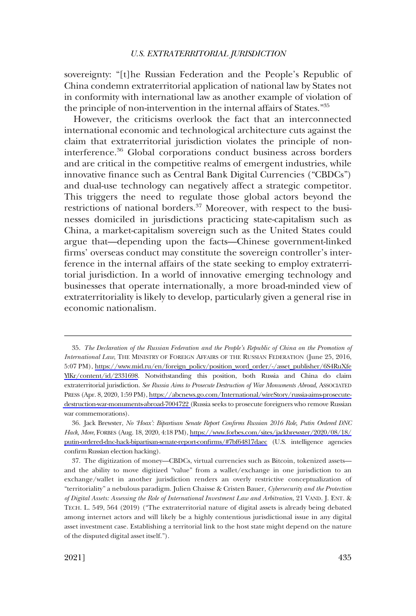sovereignty: "[t]he Russian Federation and the People's Republic of China condemn extraterritorial application of national law by States not in conformity with international law as another example of violation of the principle of non-intervention in the internal affairs of States."35

However, the criticisms overlook the fact that an interconnected international economic and technological architecture cuts against the claim that extraterritorial jurisdiction violates the principle of noninterference.36 Global corporations conduct business across borders and are critical in the competitive realms of emergent industries, while innovative finance such as Central Bank Digital Currencies ("CBDCs") and dual-use technology can negatively affect a strategic competitor. This triggers the need to regulate those global actors beyond the restrictions of national borders.<sup>37</sup> Moreover, with respect to the businesses domiciled in jurisdictions practicing state-capitalism such as China, a market-capitalism sovereign such as the United States could argue that—depending upon the facts—Chinese government-linked firms' overseas conduct may constitute the sovereign controller's interference in the internal affairs of the state seeking to employ extraterritorial jurisdiction. In a world of innovative emerging technology and businesses that operate internationally, a more broad-minded view of extraterritoriality is likely to develop, particularly given a general rise in economic nationalism.

<sup>35.</sup> The Declaration of the Russian Federation and the People's Republic of China on the Promotion of *International Law*, THE MINISTRY OF FOREIGN AFFAIRS OF THE RUSSIAN FEDERATION (June 25, 2016, 5:07 PM), [https://www.mid.ru/en/foreign\\_policy/position\\_word\\_order/-/asset\\_publisher/6S4RuXfe](https://www.mid.ru/en/foreign_policy/position_word_order/-/asset_publisher/6S4RuXfeYlKr/content/id/2331698)  [YlKr/content/id/2331698](https://www.mid.ru/en/foreign_policy/position_word_order/-/asset_publisher/6S4RuXfeYlKr/content/id/2331698). Notwithstanding this position, both Russia and China do claim extraterritorial jurisdiction. *See Russia Aims to Prosecute Destruction of War Monuments Abroad*, ASSOCIATED PRESS (Apr. 8, 2020, 1:59 PM), [https://abcnews.go.com/International/wireStory/russia-aims-prosecute](https://abcnews.go.com/International/wireStory/russia-aims-prosecute-destruction-war-monuments-abroad-7004722)[destruction-war-monuments-abroad-7004722 \(](https://abcnews.go.com/International/wireStory/russia-aims-prosecute-destruction-war-monuments-abroad-7004722)Russia seeks to prosecute foreigners who remove Russian war commemorations).

Jack Brewster, *No 'Hoax': Bipartisan Senate Report Confirms Russian 2016 Role, Putin Ordered DNC*  36. *Hack, More*, FORBES (Aug. 18, 2020, 4:18 PM), [https://www.forbes.com/sites/jackbrewster/2020/08/18/](https://www.forbes.com/sites/jackbrewster/2020/08/18/putin-ordered-dnc-hack-bipartisan-senate-report-confirms/#7bf64817daec)  [putin-ordered-dnc-hack-bipartisan-senate-report-confirms/#7bf64817daec](https://www.forbes.com/sites/jackbrewster/2020/08/18/putin-ordered-dnc-hack-bipartisan-senate-report-confirms/#7bf64817daec) (U.S. intelligence agencies confirm Russian election hacking).

<sup>37.</sup> The digitization of money—CBDCs, virtual currencies such as Bitcoin, tokenized assets and the ability to move digitized "value" from a wallet/exchange in one jurisdiction to an exchange/wallet in another jurisdiction renders an overly restrictive conceptualization of "territoriality" a nebulous paradigm. Julien Chaisse & Cristen Bauer, *Cybersecurity and the Protection of Digital Assets: Assessing the Role of International Investment Law and Arbitration*, 21 VAND. J. ENT. & TECH. L. 549, 564 (2019) ("The extraterritorial nature of digital assets is already being debated among internet actors and will likely be a highly contentious jurisdictional issue in any digital asset investment case. Establishing a territorial link to the host state might depend on the nature of the disputed digital asset itself.").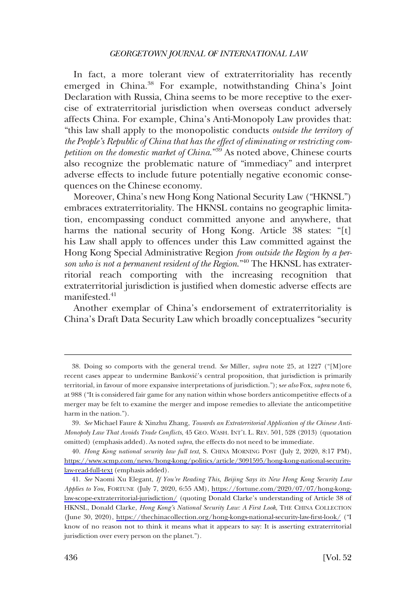In fact, a more tolerant view of extraterritoriality has recently emerged in China.<sup>38</sup> For example, notwithstanding China's Joint Declaration with Russia, China seems to be more receptive to the exercise of extraterritorial jurisdiction when overseas conduct adversely affects China. For example, China's Anti-Monopoly Law provides that: "this law shall apply to the monopolistic conducts *outside the territory of the People's Republic of China that has the effect of eliminating or restricting competition on the domestic market of China*."39 As noted above, Chinese courts also recognize the problematic nature of "immediacy" and interpret adverse effects to include future potentially negative economic consequences on the Chinese economy.

Moreover, China's new Hong Kong National Security Law ("HKNSL") embraces extraterritoriality. The HKNSL contains no geographic limitation, encompassing conduct committed anyone and anywhere, that harms the national security of Hong Kong. Article 38 states: "[t] his Law shall apply to offences under this Law committed against the Hong Kong Special Administrative Region *from outside the Region by a per*son who is not a permanent resident of the Region."<sup>40</sup> The HKNSL has extraterritorial reach comporting with the increasing recognition that extraterritorial jurisdiction is justified when domestic adverse effects are manifested.<sup>41</sup>

Another exemplar of China's endorsement of extraterritoriality is China's Draft Data Security Law which broadly conceptualizes "security

<sup>38.</sup> Doing so comports with the general trend. *See* Miller, *supra* note 25, at 1227 ("[M]ore recent cases appear to undermine Banković's central proposition, that jurisdiction is primarily territorial, in favour of more expansive interpretations of jurisdiction."); s*ee also* Fox, *supra* note 6, at 988 ("It is considered fair game for any nation within whose borders anticompetitive effects of a merger may be felt to examine the merger and impose remedies to alleviate the anticompetitive harm in the nation.").

<sup>39.</sup> *See* Michael Faure & Xinzhu Zhang, *Towards an Extraterritorial Application of the Chinese Anti-Monopoly Law That Avoids Trade Conflicts*, 45 GEO. WASH. INT'L L. REV. 501, 528 (2013) (quotation omitted) (emphasis added). As noted *supra*, the effects do not need to be immediate.

*Hong Kong national security law full text*, S. CHINA MORNING POST (July 2, 2020, 8:17 PM), 40. [https://www.scmp.com/news/hong-kong/politics/article/3091595/hong-kong-national-security](https://www.scmp.com/news/hong-kong/politics/article/3091595/hong-kong-national-security-law-read-full-text)[law-read-full-text](https://www.scmp.com/news/hong-kong/politics/article/3091595/hong-kong-national-security-law-read-full-text) (emphasis added).

*See* Naomi Xu Elegant, *If You're Reading This, Beijing Says its New Hong Kong Security Law*  41. *Applies to You*, FORTUNE (July 7, 2020, 6:55 AM), [https://fortune.com/2020/07/07/hong-kong](https://fortune.com/2020/07/07/hong-kong-law-scope-extraterritorial-jurisdiction/)[law-scope-extraterritorial-jurisdiction/](https://fortune.com/2020/07/07/hong-kong-law-scope-extraterritorial-jurisdiction/) (quoting Donald Clarke's understanding of Article 38 of HKNSL, Donald Clarke, *Hong Kong's National Security Law: A First Look*, THE CHINA COLLECTION (June 30, 2020), <https://thechinacollection.org/hong-kongs-national-security-law-first-look/>("I know of no reason not to think it means what it appears to say: It is asserting extraterritorial jurisdiction over every person on the planet.").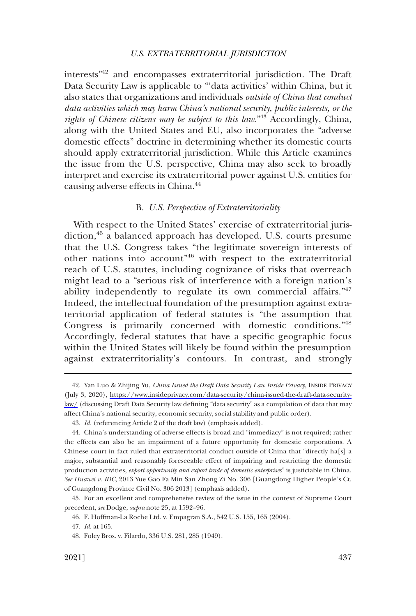<span id="page-10-0"></span>interests"42 and encompasses extraterritorial jurisdiction. The Draft Data Security Law is applicable to "'data activities' within China, but it also states that organizations and individuals *outside of China that conduct data activities which may harm China's national security, public interests, or the rights of Chinese citizens may be subject to this law*."43 Accordingly, China, along with the United States and EU, also incorporates the "adverse domestic effects" doctrine in determining whether its domestic courts should apply extraterritorial jurisdiction. While this Article examines the issue from the U.S. perspective, China may also seek to broadly interpret and exercise its extraterritorial power against U.S. entities for causing adverse effects in China.44

### B. *U.S. Perspective of Extraterritoriality*

With respect to the United States' exercise of extraterritorial jurisdiction,<sup>45</sup> a balanced approach has developed. U.S. courts presume that the U.S. Congress takes "the legitimate sovereign interests of other nations into account"46 with respect to the extraterritorial reach of U.S. statutes, including cognizance of risks that overreach might lead to a "serious risk of interference with a foreign nation's ability independently to regulate its own commercial affairs."<sup>47</sup> Indeed, the intellectual foundation of the presumption against extraterritorial application of federal statutes is "the assumption that Congress is primarily concerned with domestic conditions."<sup>48</sup> Accordingly, federal statutes that have a specific geographic focus within the United States will likely be found within the presumption against extraterritoriality's contours. In contrast, and strongly

<sup>42.</sup> Yan Luo & Zhijing Yu, *China Issued the Draft Data Security Law Inside Privacy*, INSIDE PRIVACY (July 3, 2020), [https://www.insideprivacy.com/data-security/china-issued-the-draft-data-security](https://www.insideprivacy.com/data-security/china-issued-the-draft-data-security-law/)[law/](https://www.insideprivacy.com/data-security/china-issued-the-draft-data-security-law/) (discussing Draft Data Security law defining "data security" as a compilation of data that may affect China's national security, economic security, social stability and public order).

<sup>43.</sup> *Id.* (referencing Article 2 of the draft law) (emphasis added).

<sup>44.</sup> China's understanding of adverse effects is broad and "immediacy" is not required; rather the effects can also be an impairment of a future opportunity for domestic corporations. A Chinese court in fact ruled that extraterritorial conduct outside of China that "directly ha[s] a major, substantial and reasonably foreseeable effect of impairing and restricting the domestic production activities, *export opportunity and export trade of domestic enterprises*" is justiciable in China. *See Huawei v. IDC*, 2013 Yue Gao Fa Min San Zhong Zi No. 306 [Guangdong Higher People's Ct. of Guangdong Province Civil No. 306 2013] (emphasis added).

<sup>45.</sup> For an excellent and comprehensive review of the issue in the context of Supreme Court precedent, *see* Dodge, *supra* note 25, at 1592–96.

<sup>46.</sup> F. Hoffman-La Roche Ltd. v. Empagran S.A., 542 U.S. 155, 165 (2004).

<sup>47.</sup> *Id.* at 165.

<sup>48.</sup> Foley Bros. v. Filardo, 336 U.S. 281, 285 (1949).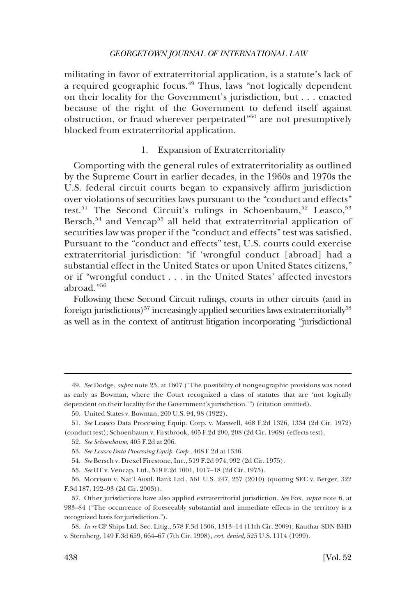<span id="page-11-0"></span>militating in favor of extraterritorial application, is a statute's lack of a required geographic focus.<sup>49</sup> Thus, laws "not logically dependent on their locality for the Government's jurisdiction, but . . . enacted because of the right of the Government to defend itself against obstruction, or fraud wherever perpetrated"<sup>50</sup> are not presumptively blocked from extraterritorial application.

### 1. Expansion of Extraterritoriality

Comporting with the general rules of extraterritoriality as outlined by the Supreme Court in earlier decades, in the 1960s and 1970s the U.S. federal circuit courts began to expansively affirm jurisdiction over violations of securities laws pursuant to the "conduct and effects" test.<sup>51</sup> The Second Circuit's rulings in Schoenbaum,<sup>52</sup> Leasco,<sup>53</sup> Bersch,<sup>54</sup> and Vencap<sup>55</sup> all held that extraterritorial application of securities law was proper if the "conduct and effects" test was satisfied. Pursuant to the "conduct and effects" test, U.S. courts could exercise extraterritorial jurisdiction: "if 'wrongful conduct [abroad] had a substantial effect in the United States or upon United States citizens," or if "wrongful conduct . . . in the United States' affected investors abroad."<sup>56</sup>

Following these Second Circuit rulings, courts in other circuits (and in foreign jurisdictions)<sup>57</sup> increasingly applied securities laws extraterritorially<sup>58</sup> as well as in the context of antitrust litigation incorporating "jurisdictional

<sup>49.</sup> *See* Dodge, *supra* note 25, at 1607 ("The possibility of nongeographic provisions was noted as early as Bowman, where the Court recognized a class of statutes that are 'not logically dependent on their locality for the Government's jurisdiction.'") (citation omitted).

<sup>50.</sup> United States v. Bowman, 260 U.S. 94, 98 (1922).

<sup>51.</sup> *See* Leasco Data Processing Equip. Corp. v. Maxwell, 468 F.2d 1326, 1334 (2d Cir. 1972) (conduct test); Schoenbaum v. Firstbrook, 405 F.2d 200, 208 (2d Cir. 1968) (effects test).

<sup>52.</sup> *See Schoenbaum*, 405 F.2d at 206.

<sup>53.</sup> *See Leasco Data Processing Equip. Corp.*, 468 F.2d at 1336.

<sup>54.</sup> *See* Bersch v. Drexel Firestone, Inc., 519 F.2d 974, 992 (2d Cir. 1975).

<sup>55.</sup> *See* IIT v. Vencap, Ltd., 519 F.2d 1001, 1017–18 (2d Cir. 1975).

<sup>56.</sup> Morrison v. Nat'l Austl. Bank Ltd., 561 U.S. 247, 257 (2010) (quoting SEC v. Berger, 322 F.3d 187, 192–93 (2d Cir. 2003)).

<sup>57.</sup> Other jurisdictions have also applied extraterritorial jurisdiction. *See* Fox, *supra* note 6, at 983–84 ("The occurrence of foreseeably substantial and immediate effects in the territory is a recognized basis for jurisdiction.").

<sup>58.</sup> *In re* CP Ships Ltd. Sec. Litig., 578 F.3d 1306, 1313–14 (11th Cir. 2009); Kauthar SDN BHD v. Sternberg, 149 F.3d 659, 664–67 (7th Cir. 1998), *cert. denied*, 525 U.S. 1114 (1999).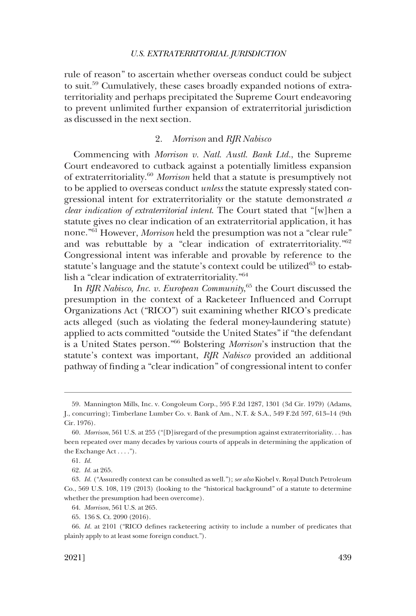<span id="page-12-0"></span>rule of reason" to ascertain whether overseas conduct could be subject to suit.59 Cumulatively, these cases broadly expanded notions of extraterritoriality and perhaps precipitated the Supreme Court endeavoring to prevent unlimited further expansion of extraterritorial jurisdiction as discussed in the next section.

### 2. *Morrison* and *RJR Nabisco*

Commencing with *Morrison v. Natl. Austl. Bank Ltd.*, the Supreme Court endeavored to cutback against a potentially limitless expansion of extraterritoriality.<sup>60</sup>*Morrison* held that a statute is presumptively not to be applied to overseas conduct *unless* the statute expressly stated congressional intent for extraterritoriality or the statute demonstrated *a clear indication of extraterritorial intent*. The Court stated that "[w]hen a statute gives no clear indication of an extraterritorial application, it has none."61 However, *Morrison* held the presumption was not a "clear rule" and was rebuttable by a "clear indication of extraterritoriality."<sup>62</sup> Congressional intent was inferable and provable by reference to the statute's language and the statute's context could be utilized<sup>63</sup> to establish a "clear indication of extraterritoriality."<sup>64</sup>

In *RJR Nabisco, Inc. v. European Community*, 65 the Court discussed the presumption in the context of a Racketeer Influenced and Corrupt Organizations Act ("RICO") suit examining whether RICO's predicate acts alleged (such as violating the federal money-laundering statute) applied to acts committed "outside the United States" if "the defendant is a United States person."66 Bolstering *Morrison*'s instruction that the statute's context was important, *RJR Nabisco* provided an additional pathway of finding a "clear indication" of congressional intent to confer

<sup>59.</sup> Mannington Mills, Inc. v. Congoleum Corp., 595 F.2d 1287, 1301 (3d Cir. 1979) (Adams, J., concurring); Timberlane Lumber Co. v. Bank of Am., N.T. & S.A., 549 F.2d 597, 613–14 (9th Cir. 1976).

<sup>60.</sup> *Morrison*, 561 U.S. at 255 ("[D]isregard of the presumption against extraterritoriality. . . has been repeated over many decades by various courts of appeals in determining the application of the Exchange Act . . . .").

<sup>61.</sup> *Id.* 

<sup>62.</sup> *Id.* at 265.

<sup>63.</sup> *Id.* ("Assuredly context can be consulted as well."); *see also* Kiobel v. Royal Dutch Petroleum Co., 569 U.S. 108, 119 (2013) (looking to the "historical background" of a statute to determine whether the presumption had been overcome).

<sup>64.</sup> *Morrison*, 561 U.S. at 265.

<sup>65. 136</sup> S. Ct. 2090 (2016).

<sup>66.</sup> *Id.* at 2101 ("RICO defines racketeering activity to include a number of predicates that plainly apply to at least some foreign conduct.").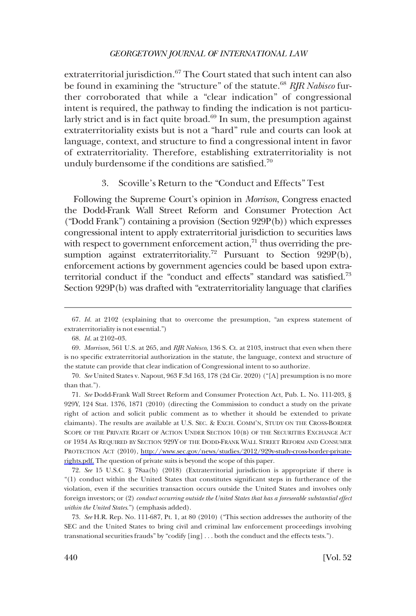<span id="page-13-0"></span>extraterritorial jurisdiction.<sup>67</sup> The Court stated that such intent can also be found in examining the "structure" of the statute.<sup>68</sup> RJR Nabisco further corroborated that while a "clear indication" of congressional intent is required, the pathway to finding the indication is not particularly strict and is in fact quite broad. $69$  In sum, the presumption against extraterritoriality exists but is not a "hard" rule and courts can look at language, context, and structure to find a congressional intent in favor of extraterritoriality. Therefore, establishing extraterritoriality is not unduly burdensome if the conditions are satisfied.<sup>70</sup>

### 3. Scoville's Return to the "Conduct and Effects" Test

Following the Supreme Court's opinion in *Morrison*, Congress enacted the Dodd-Frank Wall Street Reform and Consumer Protection Act ("Dodd Frank") containing a provision (Section 929P(b)) which expresses congressional intent to apply extraterritorial jurisdiction to securities laws with respect to government enforcement action, $71$  thus overriding the presumption against extraterritoriality.<sup>72</sup> Pursuant to Section 929P(b), enforcement actions by government agencies could be based upon extraterritorial conduct if the "conduct and effects" standard was satisfied.73 Section 929P(b) was drafted with "extraterritoriality language that clarifies

*See* Dodd-Frank Wall Street Reform and Consumer Protection Act, Pub. L. No. 111-203, § 71. 929Y, 124 Stat. 1376, 1871 (2010) (directing the Commission to conduct a study on the private right of action and solicit public comment as to whether it should be extended to private claimants). The results are available at U.S. SEC. & EXCH. COMM'N, STUDY ON THE CROSS-BORDER SCOPE OF THE PRIVATE RIGHT OF ACTION UNDER SECTION 10(B) OF THE SECURITIES EXCHANGE ACT OF 1934 AS REQUIRED BY SECTION 929Y OF THE DODD-FRANK WALL STREET REFORM AND CONSUMER PROTECTION ACT (2010), [http://www.sec.gov/news/studies/2012/929y-study-cross-border-private](http://www.sec.gov/news/studies/2012/929y-study-cross-border-private-rights.pdf)[rights.pdf.](http://www.sec.gov/news/studies/2012/929y-study-cross-border-private-rights.pdf) The question of private suits is beyond the scope of this paper.

72. *See* 15 U.S.C. § 78aa(b) (2018) (Extraterritorial jurisdiction is appropriate if there is "(1) conduct within the United States that constitutes significant steps in furtherance of the violation, even if the securities transaction occurs outside the United States and involves only foreign investors; or (2) *conduct occurring outside the United States that has a foreseeable substantial effect within the United States*.") (emphasis added).

73. *See* H.R. Rep. No. 111-687, Pt. 1, at 80 (2010) ("This section addresses the authority of the SEC and the United States to bring civil and criminal law enforcement proceedings involving transnational securities frauds" by "codify [ing] . . . both the conduct and the effects tests.").

<sup>67.</sup> *Id.* at 2102 (explaining that to overcome the presumption, "an express statement of extraterritoriality is not essential.")

<sup>68.</sup> *Id.* at 2102–03.

<sup>69.</sup> *Morrison*, 561 U.S. at 265, and *RJR Nabisco*, 136 S. Ct. at 2103, instruct that even when there is no specific extraterritorial authorization in the statute, the language, context and structure of the statute can provide that clear indication of Congressional intent to so authorize.

<sup>70.</sup> *See* United States v. Napout, 963 F.3d 163, 178 (2d Cir. 2020) ("[A] presumption is no more than that.").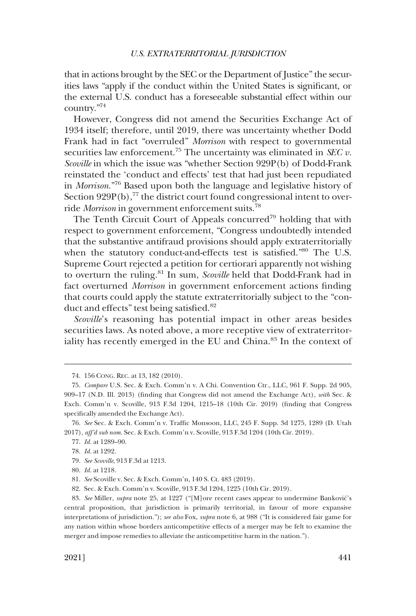that in actions brought by the SEC or the Department of Justice" the securities laws "apply if the conduct within the United States is significant, or the external U.S. conduct has a foreseeable substantial effect within our country."74

However, Congress did not amend the Securities Exchange Act of 1934 itself; therefore, until 2019, there was uncertainty whether Dodd Frank had in fact "overruled" *Morrison* with respect to governmental securities law enforcement.<sup>75</sup> The uncertainty was eliminated in *SEC v*. Scoville in which the issue was "whether Section 929P(b) of Dodd-Frank reinstated the 'conduct and effects' test that had just been repudiated in *Morrison*."76 Based upon both the language and legislative history of Section  $929P(b)$ ,<sup>77</sup> the district court found congressional intent to override *Morrison* in government enforcement suits.78

The Tenth Circuit Court of Appeals concurred<sup>79</sup> holding that with respect to government enforcement, "Congress undoubtedly intended that the substantive antifraud provisions should apply extraterritorially when the statutory conduct-and-effects test is satisfied."80 The U.S. Supreme Court rejected a petition for certiorari apparently not wishing to overturn the ruling.81 In sum, *Scoville* held that Dodd-Frank had in fact overturned *Morrison* in government enforcement actions finding that courts could apply the statute extraterritorially subject to the "conduct and effects" test being satisfied.<sup>82</sup>

*Scoville*'s reasoning has potential impact in other areas besides securities laws. As noted above, a more receptive view of extraterritoriality has recently emerged in the EU and China.<sup>83</sup> In the context of

<sup>74. 156</sup> CONG. REC. at 13, 182 (2010).

<sup>75.</sup> *Compare* U.S. Sec. & Exch. Comm'n v. A Chi. Convention Ctr., LLC, 961 F. Supp. 2d 905, 909–17 (N.D. Ill. 2013) (finding that Congress did not amend the Exchange Act), *with* Sec. & Exch. Comm'n v. Scoville, 913 F.3d 1204, 1215–18 (10th Cir. 2019) (finding that Congress specifically amended the Exchange Act).

<sup>76.</sup> *See* Sec. & Exch. Comm'n v. Traffic Monsoon, LLC, 245 F. Supp. 3d 1275, 1289 (D. Utah 2017), *aff'd sub nom.* Sec. & Exch. Comm'n v. Scoville, 913 F.3d 1204 (10th Cir. 2019).

<sup>77.</sup> *Id.* at 1289–90.

<sup>78.</sup> *Id.* at 1292.

<sup>79.</sup> *See Scoville*, 913 F.3d at 1213.

<sup>80.</sup> *Id.* at 1218.

<sup>81.</sup> *See* Scoville v. Sec. & Exch. Comm'n, 140 S. Ct. 483 (2019).

<sup>82.</sup> Sec. & Exch. Comm'n v. Scoville, 913 F.3d 1204, 1225 (10th Cir. 2019).

<sup>83.</sup> *See* Miller, *supra* note 25, at 1227 ("[M]ore recent cases appear to undermine Bankovic´'s central proposition, that jurisdiction is primarily territorial, in favour of more expansive interpretations of jurisdiction."); *see also* Fox, *supra* note 6, at 988 ("It is considered fair game for any nation within whose borders anticompetitive effects of a merger may be felt to examine the merger and impose remedies to alleviate the anticompetitive harm in the nation.").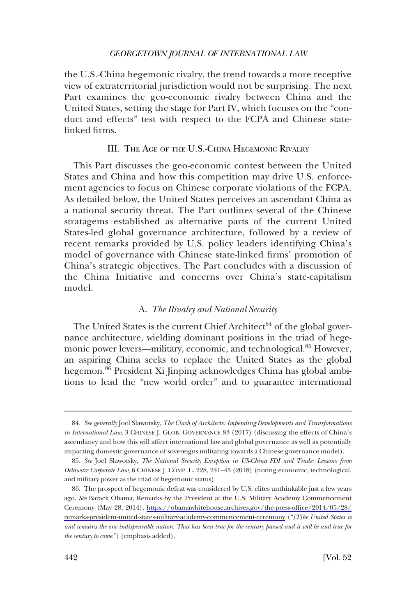<span id="page-15-0"></span>the U.S.-China hegemonic rivalry, the trend towards a more receptive view of extraterritorial jurisdiction would not be surprising. The next Part examines the geo-economic rivalry between China and the United States, setting the stage for Part IV, which focuses on the "conduct and effects" test with respect to the FCPA and Chinese statelinked firms.

### III. THE AGE OF THE U.S.-CHINA HEGEMONIC RIVALRY

This Part discusses the geo-economic contest between the United States and China and how this competition may drive U.S. enforcement agencies to focus on Chinese corporate violations of the FCPA. As detailed below, the United States perceives an ascendant China as a national security threat. The Part outlines several of the Chinese stratagems established as alternative parts of the current United States-led global governance architecture, followed by a review of recent remarks provided by U.S. policy leaders identifying China's model of governance with Chinese state-linked firms' promotion of China's strategic objectives. The Part concludes with a discussion of the China Initiative and concerns over China's state-capitalism model.

### A. *The Rivalry and National Security*

The United States is the current Chief Architect<sup>84</sup> of the global governance architecture, wielding dominant positions in the triad of hegemonic power levers—military, economic, and technological.85 However, an aspiring China seeks to replace the United States as the global hegemon.<sup>86</sup> President Xi Jinping acknowledges China has global ambitions to lead the "new world order" and to guarantee international

<sup>84.</sup> *See generally* Joel Slawotsky, *The Clash of Architects: Impending Developments and Transformations in International Law*, 3 CHINESE J. GLOB. GOVERNANCE 83 (2017) (discussing the effects of China's ascendancy and how this will affect international law and global governance as well as potentially impacting domestic governance of sovereigns militating towards a Chinese governance model).

<sup>85.</sup> *See* Joel Slawotsky, *The National Security Exception in US-China FDI and Trade: Lessons from Delaware Corporate Law*, 6 CHINESE J. COMP. L. 228, 241–45 (2018) (noting economic, technological, and military power as the triad of hegemonic status).

The prospect of hegemonic defeat was considered by U.S. elites unthinkable just a few years 86. ago. *See* Barack Obama, Remarks by the President at the U.S. Military Academy Commencement Ceremony (May 28, 2014), [https://obamawhitehouse.archives.gov/the-press-office/2014/05/28/](https://obamawhitehouse.archives.gov/the-press-office/2014/05/28/remarks-president-united-states-military-academy-commencement-ceremony)  [remarks-president-united-states-military-academy-commencement-ceremony](https://obamawhitehouse.archives.gov/the-press-office/2014/05/28/remarks-president-united-states-military-academy-commencement-ceremony) ("*[T]he United States is and remains the one indispensable nation. That has been true for the century passed and it will be and true for the century to come*.") (emphasis added).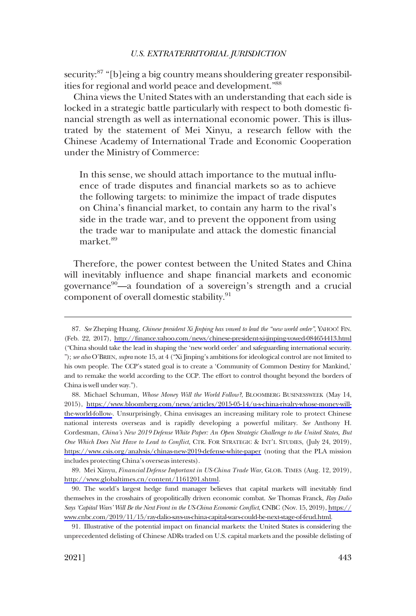security:<sup>87</sup> "[b]eing a big country means shouldering greater responsibilities for regional and world peace and development."88

China views the United States with an understanding that each side is locked in a strategic battle particularly with respect to both domestic financial strength as well as international economic power. This is illustrated by the statement of Mei Xinyu, a research fellow with the Chinese Academy of International Trade and Economic Cooperation under the Ministry of Commerce:

In this sense, we should attach importance to the mutual influence of trade disputes and financial markets so as to achieve the following targets: to minimize the impact of trade disputes on China's financial market, to contain any harm to the rival's side in the trade war, and to prevent the opponent from using the trade war to manipulate and attack the domestic financial market.<sup>89</sup>

Therefore, the power contest between the United States and China will inevitably influence and shape financial markets and economic governance<sup>90</sup>—a foundation of a sovereign's strength and a crucial component of overall domestic stability.<sup>91</sup>

89. Mei Xinyu, *Financial Defense Important in US-China Trade War*, GLOB. TIMES (Aug. 12, 2019), [http://www.globaltimes.cn/content/1161201.shtml.](http://www.globaltimes.cn/content/1161201.shtml)

*See* Zheping Huang, *Chinese president Xi Jinping has vowed to lead the "new world order"*, YAHOO! FIN. 87. (Feb. 22, 2017), <http://finance.yahoo.com/news/chinese-president-xi-jinping-vowed-084654413.html> ("China should take the lead in shaping the 'new world order' and safeguarding international security. "); *see also* O'BRIEN, *supra* note 15, at 4 ("Xi Jinping's ambitions for ideological control are not limited to his own people. The CCP's stated goal is to create a 'Community of Common Destiny for Mankind,' and to remake the world according to the CCP. The effort to control thought beyond the borders of China is well under way.").

<sup>88.</sup> Michael Schuman, Whose Money Will the World Follow?, BLOOMBERG BUSINESSWEEK (May 14, 2015), [https://www.bloomberg.com/news/articles/2015-05-14/u-s-china-rivalry-whose-money-will](https://www.bloomberg.com/news/articles/2015-05-14/u-s-china-rivalry-whose-money-will-the-world-follow)[the-world-follow-](https://www.bloomberg.com/news/articles/2015-05-14/u-s-china-rivalry-whose-money-will-the-world-follow). Unsurprisingly, China envisages an increasing military role to protect Chinese national interests overseas and is rapidly developing a powerful military. *See* Anthony H. Cordesman, *China's New 2019 Defense White Paper: An Open Strategic Challenge to the United States, But One Which Does Not Have to Lead to Conflict*, CTR. FOR STRATEGIC & INT'L STUDIES, (July 24, 2019), <https://www.csis.org/analysis/chinas-new-2019-defense-white-paper> (noting that the PLA mission includes protecting China's overseas interests).

The world's largest hedge fund manager believes that capital markets will inevitably find 90. themselves in the crosshairs of geopolitically driven economic combat. *See* Thomas Franck, *Ray Dalio Says 'Capital Wars' Will Be the Next Front in the US-China Economic Conflict*, CNBC (Nov. 15, 2019), [https://](https://www.cnbc.com/2019/11/15/ray-dalio-says-us-china-capital-wars-could-be-next-stage-of-feud.html)  [www.cnbc.com/2019/11/15/ray-dalio-says-us-china-capital-wars-could-be-next-stage-of-feud.html.](https://www.cnbc.com/2019/11/15/ray-dalio-says-us-china-capital-wars-could-be-next-stage-of-feud.html)

<sup>91.</sup> Illustrative of the potential impact on financial markets: the United States is considering the unprecedented delisting of Chinese ADRs traded on U.S. capital markets and the possible delisting of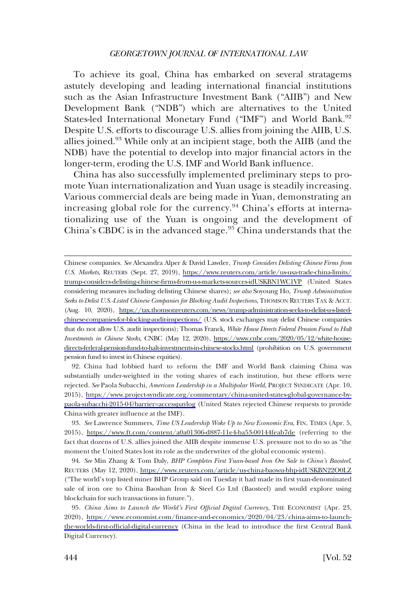To achieve its goal, China has embarked on several stratagems astutely developing and leading international financial institutions such as the Asian Infrastructure Investment Bank ("AIIB") and New Development Bank ("NDB") which are alternatives to the United States-led International Monetary Fund ("IMF") and World Bank.<sup>92</sup> Despite U.S. efforts to discourage U.S. allies from joining the AIIB, U.S. allies joined.<sup>93</sup> While only at an incipient stage, both the AIIB (and the NDB) have the potential to develop into major financial actors in the longer-term, eroding the U.S. IMF and World Bank influence.

China has also successfully implemented preliminary steps to promote Yuan internationalization and Yuan usage is steadily increasing. Various commercial deals are being made in Yuan, demonstrating an increasing global role for the currency.<sup>94</sup> China's efforts at internationalizing use of the Yuan is ongoing and the development of China's CBDC is in the advanced stage. $95$  China understands that the

China had lobbied hard to reform the IMF and World Bank claiming China was 92. substantially under-weighted in the voting shares of each institution, but these efforts were rejected. *See* Paola Subacchi, *American Leadership in a Multipolar World*, PROJECT SYNDICATE (Apr. 10, 2015), [https://www.project-syndicate.org/commentary/china-united-states-global-governance-by](https://www.project-syndicate.org/commentary/china-united-states-global-governance-by-paola-subacchi-2015-04?barrier=accesspaylog)[paola-subacchi-2015-04?barrier=accesspaylog](https://www.project-syndicate.org/commentary/china-united-states-global-governance-by-paola-subacchi-2015-04?barrier=accesspaylog) (United States rejected Chinese requests to provide China with greater influence at the IMF).

*See* Lawrence Summers, *Time US Leadership Woke Up to New Economic Era*, FIN. TIMES (Apr. 5, 93. 2015), <https://www.ft.com/content/a0a01306-d887-11e4-ba53-00144feab7de>(referring to the fact that dozens of U.S. allies joined the AIIB despite immense U.S. pressure not to do so as "the moment the United States lost its role as the underwriter of the global economic system).

*See* Min Zhang & Tom Daly, *BHP Completes First Yuan-based Iron Ore Sale to China's Baosteel*, 94. REUTERS (May 12, 2020), <https://www.reuters.com/article/us-china-baowu-bhp-idUSKBN22O0LZ> ("The world's top listed miner BHP Group said on Tuesday it had made its first yuan-denominated sale of iron ore to China Baoshan Iron & Steel Co Ltd (Baosteel) and would explore using blockchain for such transactions in future.").

*China Aims to Launch the World's First Official Digital Currency*, THE ECONOMIST (Apr. 23, 95. 2020), [https://www.economist.com/finance-and-economics/2020/04/23/china-aims-to-launch](https://www.economist.com/finance-and-economics/2020/04/23/china-aims-to-launch-the-worlds-first-official-digital-currency)[the-worlds-first-official-digital-currency](https://www.economist.com/finance-and-economics/2020/04/23/china-aims-to-launch-the-worlds-first-official-digital-currency) (China in the lead to introduce the first Central Bank Digital Currency).

Chinese companies. *See* Alexandra Alper & David Lawder, *Trump Considers Delisting Chinese Firms from U.S. Markets*, REUTERS (Sept. 27, 2019), [https://www.reuters.com/article/us-usa-trade-china-limits/](https://www.reuters.com/article/us-usa-trade-china-limits/trump-considers-delisting-chinese-firms-from-u-s-markets-sources-idUSKBN1WC1VP)  [trump-considers-delisting-chinese-firms-from-u-s-markets-sources-idUSKBN1WC1VP](https://www.reuters.com/article/us-usa-trade-china-limits/trump-considers-delisting-chinese-firms-from-u-s-markets-sources-idUSKBN1WC1VP) (United States considering measures including delisting Chinese shares); *see also* Soyoung Ho, *Trump Administration Seeks to Delist U.S.-Listed Chinese Companies for Blocking Audit Inspections*, THOMSON REUTERS TAX & ACCT. (Aug. 10, 2020), [https://tax.thomsonreuters.com/news/trump-administration-seeks-to-delist-u-s-listed](https://tax.thomsonreuters.com/news/trump-administration-seeks-to-delist-u-s-listed-chinese-companies-for-blocking-audit-inspections/)[chinese-companies-for-blocking-audit-inspections/](https://tax.thomsonreuters.com/news/trump-administration-seeks-to-delist-u-s-listed-chinese-companies-for-blocking-audit-inspections/) (U.S. stock exchanges may delist Chinese companies that do not allow U.S. audit inspections); Thomas Franck, *White House Directs Federal Pension Fund to Halt Investments in Chinese Stocks*, CNBC (May 12, 2020), [https://www.cnbc.com/2020/05/12/white-house](https://www.cnbc.com/2020/05/12/white-house-directs-federal-pension-fund-to-halt-investments-in-chinese-stocks.html)[directs-federal-pension-fund-to-halt-investments-in-chinese-stocks.html](https://www.cnbc.com/2020/05/12/white-house-directs-federal-pension-fund-to-halt-investments-in-chinese-stocks.html) (prohibition on U.S. government pension fund to invest in Chinese equities).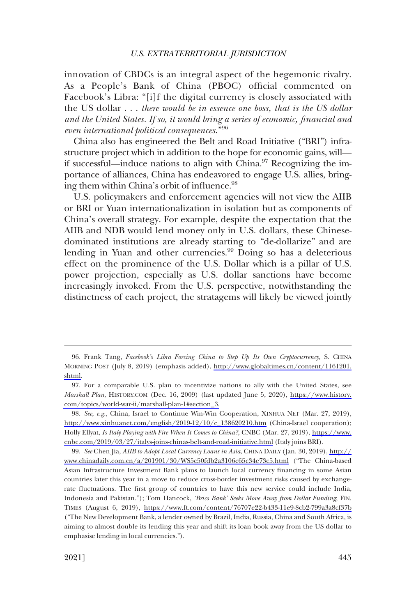innovation of CBDCs is an integral aspect of the hegemonic rivalry. As a People's Bank of China (PBOC) official commented on Facebook's Libra: "[i]f the digital currency is closely associated with the US dollar . . . *there would be in essence one boss, that is the US dollar and the United States. If so, it would bring a series of economic, financial and even international political consequences*."<sup>96</sup>

China also has engineered the Belt and Road Initiative ("BRI") infrastructure project which in addition to the hope for economic gains, will if successful—induce nations to align with China.<sup>97</sup> Recognizing the importance of alliances, China has endeavored to engage U.S. allies, bringing them within China's orbit of influence.<sup>98</sup>

U.S. policymakers and enforcement agencies will not view the AIIB or BRI or Yuan internationalization in isolation but as components of China's overall strategy. For example, despite the expectation that the AIIB and NDB would lend money only in U.S. dollars, these Chinesedominated institutions are already starting to "de-dollarize" and are lending in Yuan and other currencies.<sup>99</sup> Doing so has a deleterious effect on the prominence of the U.S. Dollar which is a pillar of U.S. power projection, especially as U.S. dollar sanctions have become increasingly invoked. From the U.S. perspective, notwithstanding the distinctness of each project, the stratagems will likely be viewed jointly

<sup>96.</sup> Frank Tang, *Facebook's Libra Forcing China to Step Up Its Own Cryptocurrency*, S. CHINA MORNING POST (July 8, 2019) (emphasis added), [http://www.globaltimes.cn/content/1161201.](http://www.globaltimes.cn/content/1161201.shtml) [shtml](http://www.globaltimes.cn/content/1161201.shtml).

<sup>97.</sup> For a comparable U.S. plan to incentivize nations to ally with the United States, see *Marshall Plan*, HISTORY.COM (Dec. 16, 2009) (last updated June 5, 2020), [https://www.history.](https://www.history.com/topics/world-war-ii/marshall-plan-1#section_3) [com/topics/world-war-ii/marshall-plan-1#section\\_3.](https://www.history.com/topics/world-war-ii/marshall-plan-1#section_3)

<sup>98.</sup> See, e.g., China, Israel to Continue Win-Win Cooperation, XINHUA NET (Mar. 27, 2019), [http://www.xinhuanet.com/english/2019-12/10/c\\_138620210.htm](http://www.xinhuanet.com/english/2019-12/10/c_138620210.htm) (China-Israel cooperation); Holly Ellyat, *Is Italy Playing with Fire When It Comes to China?*, CNBC (Mar. 27, 2019), [https://www.](https://www.cnbc.com/2019/03/27/italys-joins-chinas-belt-and-road-initiative.html) [cnbc.com/2019/03/27/italys-joins-chinas-belt-and-road-initiative.html](https://www.cnbc.com/2019/03/27/italys-joins-chinas-belt-and-road-initiative.html) (Italy joins BRI).

*See* Chen Jia, *AIIB to Adopt Local Currency Loans in Asia*, CHINA DAILY (Jan. 30, 2019), [http://](http://www.chinadaily.com.cn/a/201901/30/WS5c50fdb2a3106c65c34e73c5.html) 99. [www.chinadaily.com.cn/a/201901/30/WS5c50fdb2a3106c65c34e73c5.html](http://www.chinadaily.com.cn/a/201901/30/WS5c50fdb2a3106c65c34e73c5.html) ("The China-based Asian Infrastructure Investment Bank plans to launch local currency financing in some Asian countries later this year in a move to reduce cross-border investment risks caused by exchangerate fluctuations. The first group of countries to have this new service could include India, Indonesia and Pakistan."); Tom Hancock, *'Brics Bank' Seeks Move Away from Dollar Funding*, FIN. TIMES (August 6, 2019), <https://www.ft.com/content/76707e22-b433-11e9-8cb2-799a3a8cf37b> ("The New Development Bank, a lender owned by Brazil, India, Russia, China and South Africa, is aiming to almost double its lending this year and shift its loan book away from the US dollar to emphasise lending in local currencies.").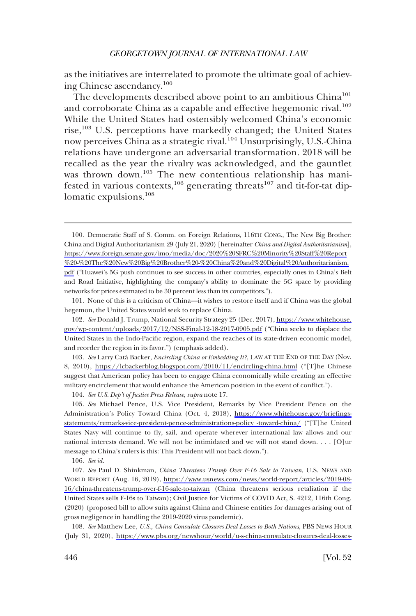as the initiatives are interrelated to promote the ultimate goal of achieving Chinese ascendancy.100

The developments described above point to an ambitious China<sup>101</sup> and corroborate China as a capable and effective hegemonic rival.<sup>102</sup> While the United States had ostensibly welcomed China's economic rise,<sup>103</sup> U.S. perceptions have markedly changed; the United States now perceives China as a strategic rival.<sup>104</sup> Unsurprisingly, U.S.-China relations have undergone an adversarial transformation. 2018 will be recalled as the year the rivalry was acknowledged, and the gauntlet was thrown down.<sup>105</sup> The new contentious relationship has manifested in various contexts,  $106$  generating threats  $107$  and tit-for-tat diplomatic expulsions.<sup>108</sup>

101. None of this is a criticism of China—it wishes to restore itself and if China was the global hegemon, the United States would seek to replace China.

*See* Donald J. Trump, National Security Strategy 25 (Dec. 2017), [https://www.whitehouse.](https://www.whitehouse.gov/wp-content/uploads/2017/12/NSS-Final-12-18-2017-0905.pdf) 102. [gov/wp-content/uploads/2017/12/NSS-Final-12-18-2017-0905.pdf](https://www.whitehouse.gov/wp-content/uploads/2017/12/NSS-Final-12-18-2017-0905.pdf) ("China seeks to displace the United States in the Indo-Pacific region, expand the reaches of its state-driven economic model, and reorder the region in its favor.") (emphasis added).

103. See Larry Catá Backer, *Encircling China or Embedding It?*, LAW AT THE END OF THE DAY (Nov. 8, 2010), <https://lcbackerblog.blogspot.com/2010/11/encircling-china.html> ("[T]he Chinese suggest that American policy has been to engage China economically while creating an effective military encirclement that would enhance the American position in the event of conflict.").

104. *See U.S. Dep't of Justice Press Release*, *supra* note 17.

*See* Michael Pence, U.S. Vice President, Remarks by Vice President Pence on the 105. Administration's Policy Toward China (Oct. 4, 2018), [https://www.whitehouse.gov/briefings](https://www.whitehouse.gov/briefings-statements/remarks-vice-president-pence-administrations-policy -toward-china/)[statements/remarks-vice-president-pence-administrations-policy -toward-china/](https://www.whitehouse.gov/briefings-statements/remarks-vice-president-pence-administrations-policy-toward-china/) ("[T]he United States Navy will continue to fly, sail, and operate wherever international law allows and our national interests demand. We will not be intimidated and we will not stand down. . . . [O]ur message to China's rulers is this: This President will not back down.").

106. *See id.* 

*See* Paul D. Shinkman, *China Threatens Trump Over F-16 Sale to Taiwan*, U.S. NEWS AND 107. WORLD REPORT (Aug. 16, 2019), [https://www.usnews.com/news/world-report/articles/2019-08-](https://www.usnews.com/news/world-report/articles/2019-08-16/china-threatens-trump-over-f-16-sale-to-taiwan) [16/china-threatens-trump-over-f-16-sale-to-taiwan](https://www.usnews.com/news/world-report/articles/2019-08-16/china-threatens-trump-over-f-16-sale-to-taiwan) (China threatens serious retaliation if the United States sells F-16s to Taiwan); Civil Justice for Victims of COVID Act, S. 4212, 116th Cong. (2020) (proposed bill to allow suits against China and Chinese entities for damages arising out of gross negligence in handling the 2019-2020 virus pandemic).

108. *See* Matthew Lee, *U.S., China Consulate Closures Deal Losses to Both Nations*, PBS NEWS HOUR (July 31, 2020), [https://www.pbs.org/newshour/world/u-s-china-consulate-closures-deal-losses-](https://www.pbs.org/newshour/world/u-s-china-consulate-closures-deal-losses-to-both-nations)

<sup>100.</sup> Democratic Staff of S. Comm. on Foreign Relations, 116TH CONG., The New Big Brother: China and Digital Authoritarianism 29 (July 21, 2020) [hereinafter *China and Digital Authoritarianism*], [https://www.foreign.senate.gov/imo/media/doc/2020%20SFRC%20Minority%20Staff%20Report](https://www.foreign.senate.gov/imo/media/doc/2020%20SFRC%20Minority%20Staff%20Report%20-%20The%20New%20Big%20Brother%20-%20China%20and%20Digital%20Authoritarianism.pdf) [%20-%20The%20New%20Big%20Brother%20-%20China%20and%20Digital%20Authoritarianism.](https://www.foreign.senate.gov/imo/media/doc/2020%20SFRC%20Minority%20Staff%20Report%20-%20The%20New%20Big%20Brother%20-%20China%20and%20Digital%20Authoritarianism.pdf)  [pdf](https://www.foreign.senate.gov/imo/media/doc/2020%20SFRC%20Minority%20Staff%20Report%20-%20The%20New%20Big%20Brother%20-%20China%20and%20Digital%20Authoritarianism.pdf) ("Huawei's 5G push continues to see success in other countries, especially ones in China's Belt and Road Initiative, highlighting the company's ability to dominate the 5G space by providing networks for prices estimated to be 30 percent less than its competitors.").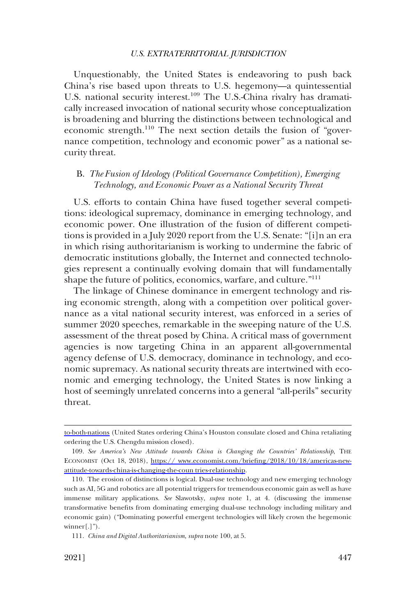<span id="page-20-0"></span>Unquestionably, the United States is endeavoring to push back China's rise based upon threats to U.S. hegemony—a quintessential U.S. national security interest.<sup>109</sup> The U.S.-China rivalry has dramatically increased invocation of national security whose conceptualization is broadening and blurring the distinctions between technological and economic strength.<sup>110</sup> The next section details the fusion of "governance competition, technology and economic power" as a national security threat.

# B. *The Fusion of Ideology (Political Governance Competition), Emerging Technology, and Economic Power as a National Security Threat*

U.S. efforts to contain China have fused together several competitions: ideological supremacy, dominance in emerging technology, and economic power. One illustration of the fusion of different competitions is provided in a July 2020 report from the U.S. Senate: "[i]n an era in which rising authoritarianism is working to undermine the fabric of democratic institutions globally, the Internet and connected technologies represent a continually evolving domain that will fundamentally shape the future of politics, economics, warfare, and culture."<sup>111</sup>

The linkage of Chinese dominance in emergent technology and rising economic strength, along with a competition over political governance as a vital national security interest, was enforced in a series of summer 2020 speeches, remarkable in the sweeping nature of the U.S. assessment of the threat posed by China. A critical mass of government agencies is now targeting China in an apparent all-governmental agency defense of U.S. democracy, dominance in technology, and economic supremacy. As national security threats are intertwined with economic and emerging technology, the United States is now linking a host of seemingly unrelated concerns into a general "all-perils" security threat.

[to-both-nations](https://www.pbs.org/newshour/world/u-s-china-consulate-closures-deal-losses-to-both-nations) (United States ordering China's Houston consulate closed and China retaliating ordering the U.S. Chengdu mission closed).

<sup>109.</sup> See America's New Attitude towards China is Changing the Countries' Relationship, THE ECONOMIST (Oct 18, 2018), [https:// www.economist.com/briefing/2018/10/18/americas-new](https://www.economist.com/briefing/2018/10/18/americas-new-attitude-towards-china-is-changing-the-countries-relationship)[attitude-towards-china-is-changing-the-coun tries-relationship.](https:// www.economist.com/briefing/2018/10/18/americas-new-attitude-towards-china-is-changing-the-coun tries-relationship)

<sup>110.</sup> The erosion of distinctions is logical. Dual-use technology and new emerging technology such as AI, 5G and robotics are all potential triggers for tremendous economic gain as well as have immense military applications. *See* Slawotsky, *supra* note 1, at 4. (discussing the immense transformative benefits from dominating emerging dual-use technology including military and economic gain) ("Dominating powerful emergent technologies will likely crown the hegemonic winner[.]").

<sup>111.</sup> *China and Digital Authoritarianism*, *supra* note 100, at 5.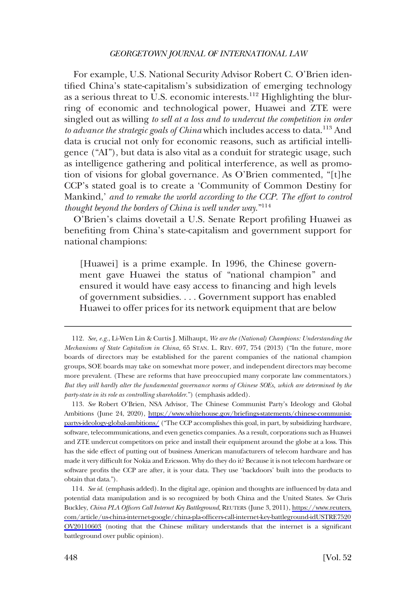For example, U.S. National Security Advisor Robert C. O'Brien identified China's state-capitalism's subsidization of emerging technology as a serious threat to U.S. economic interests.<sup>112</sup> Highlighting the blurring of economic and technological power, Huawei and ZTE were singled out as willing *to sell at a loss and to undercut the competition in order*  to advance the strategic goals of China which includes access to data.<sup>113</sup> And data is crucial not only for economic reasons, such as artificial intelligence ("AI"), but data is also vital as a conduit for strategic usage, such as intelligence gathering and political interference, as well as promotion of visions for global governance. As O'Brien commented, "[t]he CCP's stated goal is to create a 'Community of Common Destiny for Mankind,' *and to remake the world according to the CCP. The effort to control thought beyond the borders of China is well under way*."114

O'Brien's claims dovetail a U.S. Senate Report profiling Huawei as benefiting from China's state-capitalism and government support for national champions:

[Huawei] is a prime example. In 1996, the Chinese government gave Huawei the status of "national champion" and ensured it would have easy access to financing and high levels of government subsidies. . . . Government support has enabled Huawei to offer prices for its network equipment that are below

*See* Robert O'Brien, NSA Advisor, The Chinese Communist Party's Ideology and Global 113. Ambitions (June 24, 2020), [https://www.whitehouse.gov/briefings-statements/chinese-communist](https://www.whitehouse.gov/briefings-statements/chinese-communist-partys-ideology-global-ambitions/)[partys-ideology-global-ambitions/](https://www.whitehouse.gov/briefings-statements/chinese-communist-partys-ideology-global-ambitions/) ("The CCP accomplishes this goal, in part, by subsidizing hardware, software, telecommunications, and even genetics companies. As a result, corporations such as Huawei and ZTE undercut competitors on price and install their equipment around the globe at a loss. This has the side effect of putting out of business American manufacturers of telecom hardware and has made it very difficult for Nokia and Ericsson. Why do they do it? Because it is not telecom hardware or software profits the CCP are after, it is your data. They use 'backdoors' built into the products to obtain that data.").

*See id.* (emphasis added). In the digital age, opinion and thoughts are influenced by data and 114. potential data manipulation and is so recognized by both China and the United States. *See* Chris Buckley, *China PLA Officers Call Internet Key Battleground*, REUTERS (June 3, 2011), [https://www.reuters.](https://www.reuters.com/article/us-china-internet-google/china-pla-officers-call-internet-key-battleground-idUSTRE7520OV20110603)  [com/article/us-china-internet-google/china-pla-officers-call-internet-key-battleground-idUSTRE7520](https://www.reuters.com/article/us-china-internet-google/china-pla-officers-call-internet-key-battleground-idUSTRE7520OV20110603) [OV20110603](https://www.reuters.com/article/us-china-internet-google/china-pla-officers-call-internet-key-battleground-idUSTRE7520OV20110603) (noting that the Chinese military understands that the internet is a significant battleground over public opinion).

<sup>112.</sup> *See, e.g.*, Li-Wen Lin & Curtis J. Milhaupt, *We are the (National) Champions: Understanding the Mechanisms of State Capitalism in China*, 65 STAN. L. REV. 697, 754 (2013) ("In the future, more boards of directors may be established for the parent companies of the national champion groups, SOE boards may take on somewhat more power, and independent directors may become more prevalent. (These are reforms that have preoccupied many corporate law commentators.) *But they will hardly alter the fundamental governance norms of Chinese SOEs, which are determined by the party-state in its role as controlling shareholder*.") (emphasis added).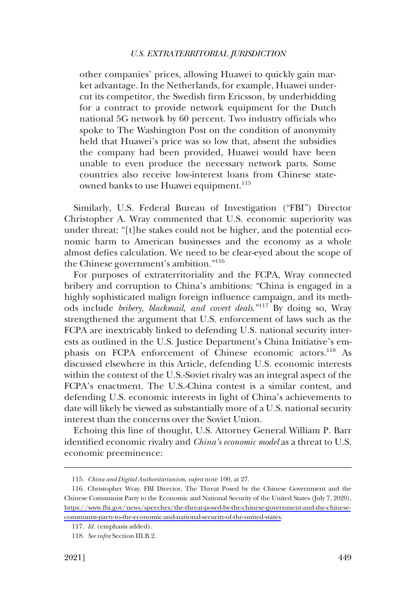other companies' prices, allowing Huawei to quickly gain market advantage. In the Netherlands, for example, Huawei undercut its competitor, the Swedish firm Ericsson, by underbidding for a contract to provide network equipment for the Dutch national 5G network by 60 percent. Two industry officials who spoke to The Washington Post on the condition of anonymity held that Huawei's price was so low that, absent the subsidies the company had been provided, Huawei would have been unable to even produce the necessary network parts. Some countries also receive low-interest loans from Chinese stateowned banks to use Huawei equipment.<sup>115</sup>

Similarly, U.S. Federal Bureau of Investigation ("FBI") Director Christopher A. Wray commented that U.S. economic superiority was under threat: "[t]he stakes could not be higher, and the potential economic harm to American businesses and the economy as a whole almost defies calculation. We need to be clear-eyed about the scope of the Chinese government's ambition."116

For purposes of extraterritoriality and the FCPA, Wray connected bribery and corruption to China's ambitions: "China is engaged in a highly sophisticated malign foreign influence campaign, and its methods include *bribery, blackmail, and covert deals*."117 By doing so, Wray strengthened the argument that U.S. enforcement of laws such as the FCPA are inextricably linked to defending U.S. national security interests as outlined in the U.S. Justice Department's China Initiative's emphasis on FCPA enforcement of Chinese economic actors.<sup>118</sup> As discussed elsewhere in this Article, defending U.S. economic interests within the context of the U.S.-Soviet rivalry was an integral aspect of the FCPA's enactment. The U.S.-China contest is a similar contest, and defending U.S. economic interests in light of China's achievements to date will likely be viewed as substantially more of a U.S. national security interest than the concerns over the Soviet Union.

Echoing this line of thought, U.S. Attorney General William P. Barr identified economic rivalry and *China's economic model* as a threat to U.S. economic preeminence:

<sup>115.</sup> *China and Digital Authoritarianism*, *supra* note 100, at 27.

<sup>116.</sup> Christopher Wray, FBI Director, The Threat Posed by the Chinese Government and the Chinese Communist Party to the Economic and National Security of the United States (July 7, 2020), [https://www.fbi.gov/news/speeches/the-threat-posed-by-the-chinese-government-and-the-chinese](https://www.fbi.gov/news/speeches/the-threat-posed-by-the-chinese-government-and-the-chinese-communist-party-to-the-economic-and-national-security-of-the-united-states)[communist-party-to-the-economic-and-national-security-of-the-united-states](https://www.fbi.gov/news/speeches/the-threat-posed-by-the-chinese-government-and-the-chinese-communist-party-to-the-economic-and-national-security-of-the-united-states).

<sup>117.</sup> *Id.* (emphasis added).

<sup>118.</sup> *See infra* Section III.B.2.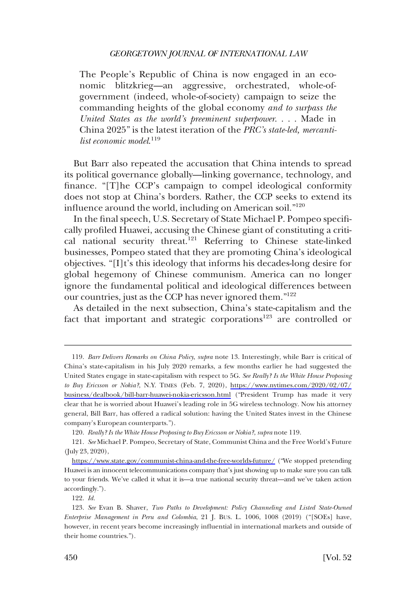The People's Republic of China is now engaged in an economic blitzkrieg—an aggressive, orchestrated, whole-ofgovernment (indeed, whole-of-society) campaign to seize the commanding heights of the global economy *and to surpass the United States as the world's preeminent superpower*. . . . Made in China 2025" is the latest iteration of the *PRC's state-led, mercantilist economic model*. 119

But Barr also repeated the accusation that China intends to spread its political governance globally—linking governance, technology, and finance. "[T]he CCP's campaign to compel ideological conformity does not stop at China's borders. Rather, the CCP seeks to extend its influence around the world, including on American soil."120

In the final speech, U.S. Secretary of State Michael P. Pompeo specifically profiled Huawei, accusing the Chinese giant of constituting a critical national security threat.<sup>121</sup> Referring to Chinese state-linked businesses, Pompeo stated that they are promoting China's ideological objectives. "[I]t's this ideology that informs his decades-long desire for global hegemony of Chinese communism. America can no longer ignore the fundamental political and ideological differences between our countries, just as the CCP has never ignored them."122

As detailed in the next subsection, China's state-capitalism and the fact that important and strategic corporations<sup>123</sup> are controlled or

<sup>119.</sup> Barr Delivers Remarks on China Policy, supra note 13. Interestingly, while Barr is critical of China's state-capitalism in his July 2020 remarks, a few months earlier he had suggested the United States engage in state-capitalism with respect to 5G. *See Really? Is the White House Proposing to Buy Ericsson or Nokia?*, N.Y. TIMES (Feb. 7, 2020), [https://www.nytimes.com/2020/02/07/](https://www.nytimes.com/2020/02/07/business/dealbook/bill-barr-huawei-nokia-ericsson.html) [business/dealbook/bill-barr-huawei-nokia-ericsson.html](https://www.nytimes.com/2020/02/07/business/dealbook/bill-barr-huawei-nokia-ericsson.html) ("President Trump has made it very clear that he is worried about Huawei's leading role in 5G wireless technology. Now his attorney general, Bill Barr, has offered a radical solution: having the United States invest in the Chinese company's European counterparts.").

<sup>120.</sup> *Really? Is the White House Proposing to Buy Ericsson or Nokia?*, *supra* note 119.

*See* Michael P. Pompeo, Secretary of State, Communist China and the Free World's Future 121. (July 23, 2020),

<https://www.state.gov/communist-china-and-the-free-worlds-future/> ("We stopped pretending Huawei is an innocent telecommunications company that's just showing up to make sure you can talk to your friends. We've called it what it is—a true national security threat—and we've taken action accordingly.").

<sup>122.</sup> *Id.* 

<sup>123.</sup> *See* Evan B. Shaver, *Two Paths to Development: Policy Channeling and Listed State-Owned Enterprise Management in Peru and Colombia*, 21 J. BUS. L. 1006, 1008 (2019) ("[SOEs] have, however, in recent years become increasingly influential in international markets and outside of their home countries.").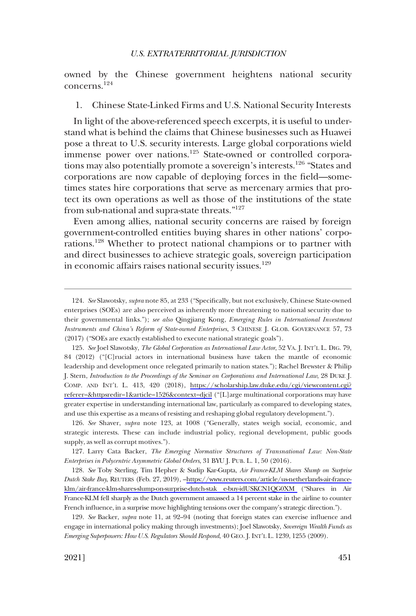<span id="page-24-0"></span>owned by the Chinese government heightens national security concerns.124

#### 1. Chinese State-Linked Firms and U.S. National Security Interests

In light of the above-referenced speech excerpts, it is useful to understand what is behind the claims that Chinese businesses such as Huawei pose a threat to U.S. security interests. Large global corporations wield immense power over nations.<sup>125</sup> State-owned or controlled corporations may also potentially promote a sovereign's interests.<sup>126</sup> "States and corporations are now capable of deploying forces in the field—sometimes states hire corporations that serve as mercenary armies that protect its own operations as well as those of the institutions of the state from sub-national and supra-state threats."<sup>127</sup>

Even among allies, national security concerns are raised by foreign government-controlled entities buying shares in other nations' corporations.<sup>128</sup> Whether to protect national champions or to partner with and direct businesses to achieve strategic goals, sovereign participation in economic affairs raises national security issues.<sup>129</sup>

126. *See* Shaver, *supra* note 123, at 1008 ("Generally, states weigh social, economic, and strategic interests. These can include industrial policy, regional development, public goods supply, as well as corrupt motives.").

127. Larry Cata Backer, *The Emerging Normative Structures of Transnational Law: Non-State Enterprises in Polycentric Asymmetric Global Orders*, 31 BYU J. PUB. L. 1, 50 (2016).

*See* Toby Sterling, Tim Hepher & Sudip Kar-Gupta, *Air France-KLM Shares Slump on Surprise*  128. *Dutch Stake Buy*, REUTERS (Feb. 27, 2019), –[https://www.reuters.com/article/us-netherlands-air-france](https://www.reuters.com/article/us-netherlands-air-france-klm/air-france-klm-shares-slump-on-surprise-dutch-stake-buy-idUSKCN1QG0XM)[klm/air-france-klm-shares-slump-on-surprise-dutch-stak e-buy-idUSKCN1QG0XM](https://www.reuters.com/article/us-netherlands-air-france-klm/air-france-klm-shares-slump-on-surprise-dutch-stake-buy-idUSKCN1QG0XM) ("Shares in Air France-KLM fell sharply as the Dutch government amassed a 14 percent stake in the airline to counter French influence, in a surprise move highlighting tensions over the company's strategic direction.").

129. *See* Backer, *supra* note 11, at 92–94 (noting that foreign states can exercise influence and engage in international policy making through investments); Joel Slawotsky, *Sovereign Wealth Funds as Emerging Superpowers: How U.S. Regulators Should Respond*, 40 GEO. J. INT'L L. 1239, 1255 (2009).

<sup>124.</sup> *See* Slawotsky, *supra* note 85, at 233 ("Specifically, but not exclusively, Chinese State-owned enterprises (SOEs) are also perceived as inherently more threatening to national security due to their governmental links."); *see also* Qingjiang Kong, *Emerging Rules in International Investment Instruments and China's Reform of State-owned Enterprises*, 3 CHINESE J. GLOB. GOVERNANCE 57, 73 (2017) ("SOEs are exactly established to execute national strategic goals").

<sup>125.</sup> See Joel Slawotsky, *The Global Corporation as International Law Actor*, 52 VA. *J. INT'L L. DIG.* 79, 84 (2012) ("[C]rucial actors in international business have taken the mantle of economic leadership and development once relegated primarily to nation states."); Rachel Brewster & Philip J. Stern, *Introduction to the Proceedings of the Seminar on Corporations and International Law*, 28 DUKE J. COMP. AND INT'L L. 413, 420 (2018), [https://scholarship.law.duke.edu/cgi/viewcontent.cgi?](https://scholarship.law.duke.edu/cgi/viewcontent.cgi?referer=&httpsredir=1&article=1526&context=djcil)  [referer=&httpsredir=1&article=1526&context=djcil](https://scholarship.law.duke.edu/cgi/viewcontent.cgi?referer=&httpsredir=1&article=1526&context=djcil) ("[L]arge multinational corporations may have greater expertise in understanding international law, particularly as compared to developing states, and use this expertise as a means of resisting and reshaping global regulatory development.").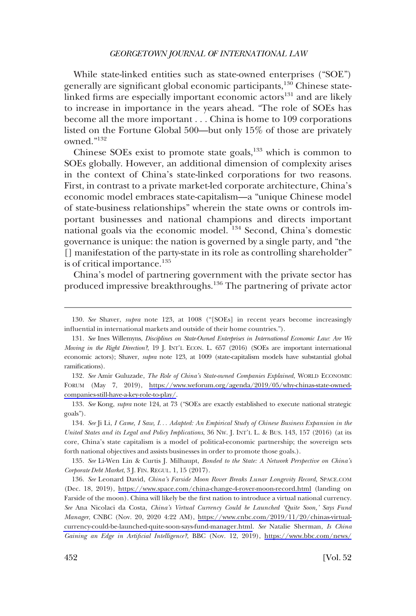While state-linked entities such as state-owned enterprises ("SOE") generally are significant global economic participants,130 Chinese statelinked firms are especially important economic actors<sup>131</sup> and are likely to increase in importance in the years ahead. "The role of SOEs has become all the more important . . . China is home to 109 corporations listed on the Fortune Global 500—but only 15% of those are privately owned."132

Chinese SOEs exist to promote state goals, $133$  which is common to SOEs globally. However, an additional dimension of complexity arises in the context of China's state-linked corporations for two reasons. First, in contrast to a private market-led corporate architecture, China's economic model embraces state-capitalism—a "unique Chinese model of state-business relationships" wherein the state owns or controls important businesses and national champions and directs important national goals via the economic model. 134 Second, China's domestic governance is unique: the nation is governed by a single party, and "the [] manifestation of the party-state in its role as controlling shareholder" is of critical importance.<sup>135</sup>

China's model of partnering government with the private sector has produced impressive breakthroughs.136 The partnering of private actor

*See* Amir Guluzade, *The Role of China's State-owned Companies Explained*, WORLD ECONOMIC 132. FORUM (May 7, 2019), [https://www.weforum.org/agenda/2019/05/why-chinas-state-owned](https://www.weforum.org/agenda/2019/05/why-chinas-state-owned-companies-still-have-a-key-role-to-play/)[companies-still-have-a-key-role-to-play/.](https://www.weforum.org/agenda/2019/05/why-chinas-state-owned-companies-still-have-a-key-role-to-play/)

133. *See* Kong, *supra* note 124, at 73 ("SOEs are exactly established to execute national strategic goals").

134. *See* Ji Li, *I Came, I Saw, I*. . . *Adapted: An Empirical Study of Chinese Business Expansion in the United States and its Legal and Policy Implications*, 36 NW. J. INT'L L. & BUS. 143, 157 (2016) (at its core, China's state capitalism is a model of political-economic partnership; the sovereign sets forth national objectives and assists businesses in order to promote those goals.).

135. *See* Li-Wen Lin & Curtis J. Milhaupt, *Bonded to the State: A Network Perspective on China's Corporate Debt Market*, 3 J. FIN. REGUL. 1, 15 (2017).

136. *See* Leonard David, *China's Farside Moon Rover Breaks Lunar Longevity Record*, SPACE.COM (Dec. 18, 2019), <https://www.space.com/china-change-4-rover-moon-record.html>(landing on Farside of the moon). China will likely be the first nation to introduce a virtual national currency. *See* Ana Nicolaci da Costa, *China's Virtual Currency Could be Launched 'Quite Soon,' Says Fund Manager*, CNBC (Nov. 20, 2020 4:22 AM), [https://www.cnbc.com/2019/11/20/chinas-virtual](https://www.cnbc.com/2019/11/20/chinas-virtual-currency-could-be-launched-quite-soon-says-fund-manager.html)[currency-could-be-launched-quite-soon-says-fund-manager.html](https://www.cnbc.com/2019/11/20/chinas-virtual-currency-could-be-launched-quite-soon-says-fund-manager.html). *See* Natalie Sherman, *Is China Gaining an Edge in Artificial Intelligence?*, BBC (Nov. 12, 2019), [https://www.bbc.com/news/](https://www.bbc.com/news/business-50255191)

<sup>130.</sup> *See* Shaver, *supra* note 123, at 1008 ("[SOEs] in recent years become increasingly influential in international markets and outside of their home countries.").

<sup>131.</sup> *See* Ines Willemyns, *Disciplines on State-Owned Enterprises in International Economic Law: Are We Moving in the Right Direction?*, 19 J. INT'L ECON. L. 657 (2016) (SOEs are important international economic actors); Shaver, *supra* note 123, at 1009 (state-capitalism models have substantial global ramifications).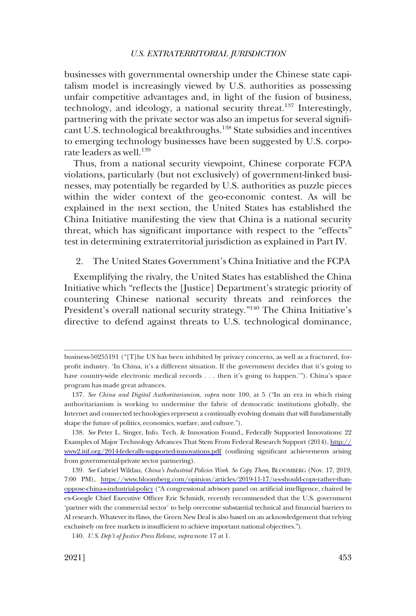<span id="page-26-0"></span>businesses with governmental ownership under the Chinese state capitalism model is increasingly viewed by U.S. authorities as possessing unfair competitive advantages and, in light of the fusion of business, technology, and ideology, a national security threat.<sup>137</sup> Interestingly, partnering with the private sector was also an impetus for several significant U.S. technological breakthroughs.<sup>138</sup> State subsidies and incentives to emerging technology businesses have been suggested by U.S. corporate leaders as well.<sup>139</sup>

Thus, from a national security viewpoint, Chinese corporate FCPA violations, particularly (but not exclusively) of government-linked businesses, may potentially be regarded by U.S. authorities as puzzle pieces within the wider context of the geo-economic contest. As will be explained in the next section, the United States has established the China Initiative manifesting the view that China is a national security threat, which has significant importance with respect to the "effects" test in determining extraterritorial jurisdiction as explained in Part IV.

### 2. The United States Government's China Initiative and the FCPA

Exemplifying the rivalry, the United States has established the China Initiative which "reflects the [Justice] Department's strategic priority of countering Chinese national security threats and reinforces the President's overall national security strategy."140 The China Initiative's directive to defend against threats to U.S. technological dominance,

business-50255191 ("[T]he US has been inhibited by privacy concerns, as well as a fractured, forprofit industry. 'In China, it's a different situation. If the government decides that it's going to have country-wide electronic medical records . . . then it's going to happen.'"). China's space program has made great advances.

<sup>137.</sup> *See China and Digital Authoritarianism*, *supra* note 100, at 5 ("In an era in which rising authoritarianism is working to undermine the fabric of democratic institutions globally, the Internet and connected technologies represent a continually evolving domain that will fundamentally shape the future of politics, economics, warfare, and culture.").

<sup>138.</sup> See Peter L. Singer, Info. Tech. & Innovation Found., Federally Supported Innovations: 22 Examples of Major Technology Advances That Stem From Federal Research Support (2014), [http://](http://www2.itif.org/2014-federally-supported-innovations.pdf)  [www2.itif.org/2014-federally-supported-innovations.pdf](http://www2.itif.org/2014-federally-supported-innovations.pdf) (outlining significant achievements arising from governmental-private sector partnering).

*See* Gabriel Wildau, *China's Industrial Policies Work. So Copy Them*, BLOOMBERG (Nov. 17, 2019, 139. 7:00 PM), [https://www.bloomberg.com/opinion/articles/2019-11-17/u-s-should-copy-rather-than](https://www.bloomberg.com/opinion/articles/2019-11-17/u-s-should-copy-rather-than-oppose-china-s-industrial-policy)[oppose-china-s-industrial-policy](https://www.bloomberg.com/opinion/articles/2019-11-17/u-s-should-copy-rather-than-oppose-china-s-industrial-policy) ("A congressional advisory panel on artificial intelligence, chaired by ex-Google Chief Executive Officer Eric Schmidt, recently recommended that the U.S. government 'partner with the commercial sector' to help overcome substantial technical and financial barriers to AI research. Whatever its flaws, the Green New Deal is also based on an acknowledgement that relying exclusively on free markets is insufficient to achieve important national objectives.").

<sup>140.</sup> *U.S. Dep't of Justice Press Release*, *supra* note 17 at 1.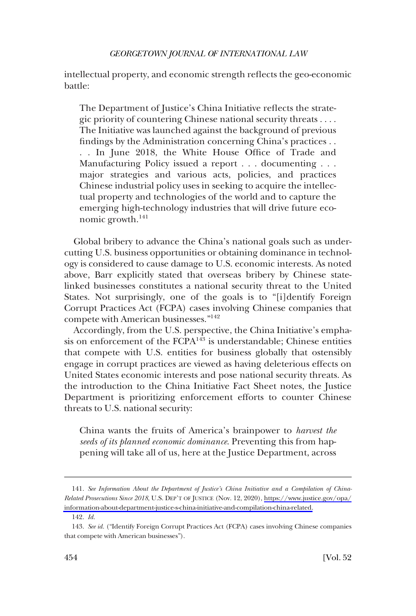intellectual property, and economic strength reflects the geo-economic battle:

The Department of Justice's China Initiative reflects the strategic priority of countering Chinese national security threats . . . . The Initiative was launched against the background of previous findings by the Administration concerning China's practices . . . . In June 2018, the White House Office of Trade and Manufacturing Policy issued a report . . . documenting . . . major strategies and various acts, policies, and practices Chinese industrial policy uses in seeking to acquire the intellectual property and technologies of the world and to capture the emerging high-technology industries that will drive future economic growth.<sup>141</sup>

Global bribery to advance the China's national goals such as undercutting U.S. business opportunities or obtaining dominance in technology is considered to cause damage to U.S. economic interests. As noted above, Barr explicitly stated that overseas bribery by Chinese statelinked businesses constitutes a national security threat to the United States. Not surprisingly, one of the goals is to "[i]dentify Foreign Corrupt Practices Act (FCPA) cases involving Chinese companies that compete with American businesses."<sup>142</sup>

Accordingly, from the U.S. perspective, the China Initiative's emphasis on enforcement of the FCPA<sup>143</sup> is understandable; Chinese entities that compete with U.S. entities for business globally that ostensibly engage in corrupt practices are viewed as having deleterious effects on United States economic interests and pose national security threats. As the introduction to the China Initiative Fact Sheet notes, the Justice Department is prioritizing enforcement efforts to counter Chinese threats to U.S. national security:

China wants the fruits of America's brainpower to *harvest the seeds of its planned economic dominance*. Preventing this from happening will take all of us, here at the Justice Department, across

*See Information About the Department of Justice's China Initiative and a Compilation of China-*141. *Related Prosecutions Since 2018*, U.S. DEP'T OF JUSTICE (Nov. 12, 2020), [https://www.justice.gov/opa/](https://www.justice.gov/opa/information-about-department-justice-s-china-initiative-and-compilation-china-related)  [information-about-department-justice-s-china-initiative-and-compilation-china-related.](https://www.justice.gov/opa/information-about-department-justice-s-china-initiative-and-compilation-china-related)

<sup>142.</sup> *Id.* 

<sup>143.</sup> *See id.* ("Identify Foreign Corrupt Practices Act (FCPA) cases involving Chinese companies that compete with American businesses").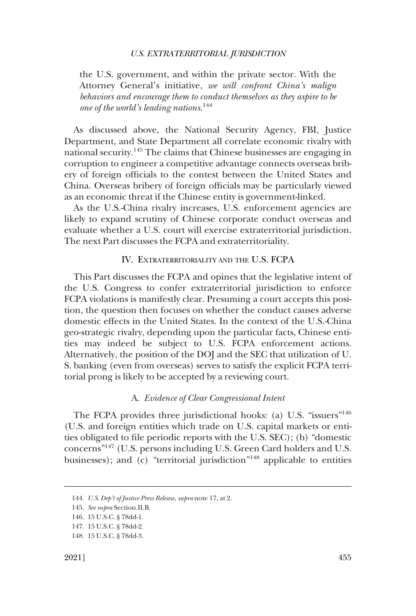<span id="page-28-0"></span>the U.S. government, and within the private sector. With the Attorney General's initiative, *we will confront China's malign behaviors and encourage them to conduct themselves as they aspire to be one of the world's leading nations*. 144

As discussed above, the National Security Agency, FBI, Justice Department, and State Department all correlate economic rivalry with national security.145 The claims that Chinese businesses are engaging in corruption to engineer a competitive advantage connects overseas bribery of foreign officials to the contest between the United States and China. Overseas bribery of foreign officials may be particularly viewed as an economic threat if the Chinese entity is government-linked.

As the U.S.-China rivalry increases, U.S. enforcement agencies are likely to expand scrutiny of Chinese corporate conduct overseas and evaluate whether a U.S. court will exercise extraterritorial jurisdiction. The next Part discusses the FCPA and extraterritoriality.

### IV. EXTRATERRITORIALITY AND THE U.S. FCPA

This Part discusses the FCPA and opines that the legislative intent of the U.S. Congress to confer extraterritorial jurisdiction to enforce FCPA violations is manifestly clear. Presuming a court accepts this position, the question then focuses on whether the conduct causes adverse domestic effects in the United States. In the context of the U.S.-China geo-strategic rivalry, depending upon the particular facts, Chinese entities may indeed be subject to U.S. FCPA enforcement actions. Alternatively, the position of the DOJ and the SEC that utilization of U. S. banking (even from overseas) serves to satisfy the explicit FCPA territorial prong is likely to be accepted by a reviewing court.

#### A. *Evidence of Clear Congressional Intent*

The FCPA provides three jurisdictional hooks: (a) U.S. "issuers"<sup>146</sup> (U.S. and foreign entities which trade on U.S. capital markets or entities obligated to file periodic reports with the U.S. SEC); (b) "domestic concerns"147 (U.S. persons including U.S. Green Card holders and U.S. businesses); and  $(c)$  "territorial jurisdiction"<sup>148</sup> applicable to entities

<sup>144.</sup> *U.S. Dep't of Justice Press Release*, *supra* note 17, at 2.

<sup>145.</sup> *See supra* Section.II.B.

<sup>146. 15</sup> U.S.C. § 78dd-1.

<sup>147. 15</sup> U.S.C. § 78dd-2.

<sup>148. 15</sup> U.S.C. § 78dd-3.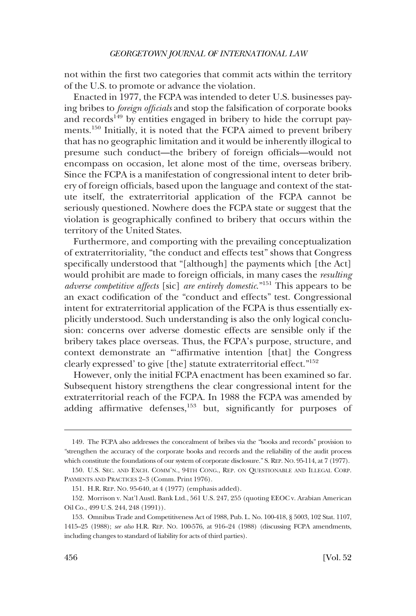not within the first two categories that commit acts within the territory of the U.S. to promote or advance the violation.

Enacted in 1977, the FCPA was intended to deter U.S. businesses paying bribes to *foreign officials* and stop the falsification of corporate books and records<sup>149</sup> by entities engaged in bribery to hide the corrupt payments.150 Initially, it is noted that the FCPA aimed to prevent bribery that has no geographic limitation and it would be inherently illogical to presume such conduct—the bribery of foreign officials—would not encompass on occasion, let alone most of the time, overseas bribery. Since the FCPA is a manifestation of congressional intent to deter bribery of foreign officials, based upon the language and context of the statute itself, the extraterritorial application of the FCPA cannot be seriously questioned. Nowhere does the FCPA state or suggest that the violation is geographically confined to bribery that occurs within the territory of the United States.

Furthermore, and comporting with the prevailing conceptualization of extraterritoriality, "the conduct and effects test" shows that Congress specifically understood that "[although] the payments which [the Act] would prohibit are made to foreign officials, in many cases the *resulting adverse competitive affects* [sic] *are entirely domestic*."151 This appears to be an exact codification of the "conduct and effects" test. Congressional intent for extraterritorial application of the FCPA is thus essentially explicitly understood. Such understanding is also the only logical conclusion: concerns over adverse domestic effects are sensible only if the bribery takes place overseas. Thus, the FCPA's purpose, structure, and context demonstrate an "'affirmative intention [that] the Congress clearly expressed' to give [the] statute extraterritorial effect."152

However, only the initial FCPA enactment has been examined so far. Subsequent history strengthens the clear congressional intent for the extraterritorial reach of the FCPA. In 1988 the FCPA was amended by adding affirmative defenses,<sup>153</sup> but, significantly for purposes of

<sup>149.</sup> The FCPA also addresses the concealment of bribes via the "books and records" provision to "strengthen the accuracy of the corporate books and records and the reliability of the audit process which constitute the foundations of our system of corporate disclosure." S. REP. No. 95-114, at 7 (1977).

<sup>150.</sup> U.S. SEC. AND EXCH. COMM'N., 94TH CONG., REP. ON QUESTIONABLE AND ILLEGAL CORP. PAYMENTS AND PRACTICES 2-3 (Comm. Print 1976).

<sup>151.</sup> H.R. REP. NO. 95-640, at 4 (1977) (emphasis added).

<sup>152.</sup> Morrison v. Nat'l Austl. Bank Ltd., 561 U.S. 247, 255 (quoting EEOC v. Arabian American Oil Co., 499 U.S. 244, 248 (1991)).

<sup>153.</sup> Omnibus Trade and Competitiveness Act of 1988, Pub. L. No. 100-418, § 5003, 102 Stat. 1107, 1415–25 (1988); *see also* H.R. REP. NO. 100-576, at 916–24 (1988) (discussing FCPA amendments, including changes to standard of liability for acts of third parties).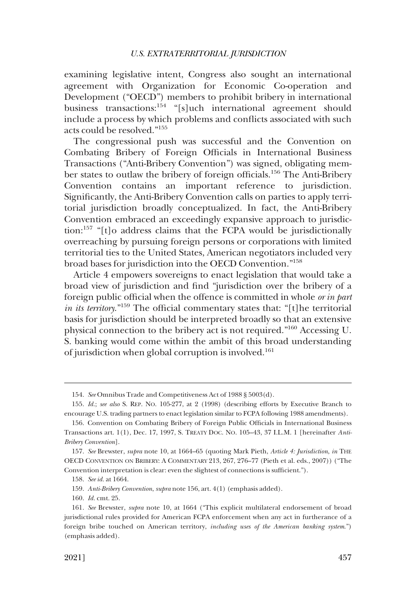examining legislative intent, Congress also sought an international agreement with Organization for Economic Co-operation and Development ("OECD") members to prohibit bribery in international business transactions:154 "[s]uch international agreement should include a process by which problems and conflicts associated with such acts could be resolved."<sup>155</sup>

The congressional push was successful and the Convention on Combating Bribery of Foreign Officials in International Business Transactions ("Anti-Bribery Convention") was signed, obligating member states to outlaw the bribery of foreign officials.156 The Anti-Bribery Convention contains an important reference to jurisdiction. Significantly, the Anti-Bribery Convention calls on parties to apply territorial jurisdiction broadly conceptualized. In fact, the Anti-Bribery Convention embraced an exceedingly expansive approach to jurisdiction:157 "[t]o address claims that the FCPA would be jurisdictionally overreaching by pursuing foreign persons or corporations with limited territorial ties to the United States, American negotiators included very broad bases for jurisdiction into the OECD Convention."158

Article 4 empowers sovereigns to enact legislation that would take a broad view of jurisdiction and find "jurisdiction over the bribery of a foreign public official when the offence is committed in whole *or in part in its territory*."159 The official commentary states that: "[t]he territorial basis for jurisdiction should be interpreted broadly so that an extensive physical connection to the bribery act is not required."160 Accessing U. S. banking would come within the ambit of this broad understanding of jurisdiction when global corruption is involved.<sup>161</sup>

160. *Id.* cmt. 25.

<sup>154.</sup> *See* Omnibus Trade and Competitiveness Act of 1988 § 5003(d).

<sup>155.</sup> *Id.*; *see also* S. REP. NO. 105-277, at 2 (1998) (describing efforts by Executive Branch to encourage U.S. trading partners to enact legislation similar to FCPA following 1988 amendments).

<sup>156.</sup> Convention on Combating Bribery of Foreign Public Officials in International Business Transactions art. 1(1), Dec. 17, 1997, S. TREATY DOC. NO. 105–43, 37 I.L.M. 1 [hereinafter *Anti-Bribery Convention*].

<sup>157.</sup> *See* Brewster, *supra* note 10, at 1664–65 (quoting Mark Pieth, *Article 4: Jurisdiction*, *in* THE OECD CONVENTION ON BRIBERY: A COMMENTARY 213, 267, 276–77 (Pieth et al. eds., 2007)) ("The Convention interpretation is clear: even the slightest of connections is sufficient.").

<sup>158.</sup> *See id.* at 1664.

<sup>159.</sup> *Anti-Bribery Convention*, *supra* note 156, art. 4(1) (emphasis added).

<sup>161.</sup> *See* Brewster, *supra* note 10, at 1664 ("This explicit multilateral endorsement of broad jurisdictional rules provided for American FCPA enforcement when any act in furtherance of a foreign bribe touched on American territory, *including uses of the American banking system*.") (emphasis added).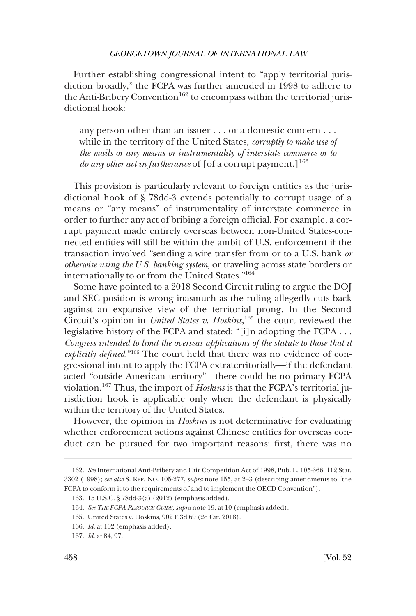Further establishing congressional intent to "apply territorial jurisdiction broadly," the FCPA was further amended in 1998 to adhere to the Anti-Bribery Convention<sup>162</sup> to encompass within the territorial jurisdictional hook:

any person other than an issuer . . . or a domestic concern . . . while in the territory of the United States, *corruptly to make use of the mails or any means or instrumentality of interstate commerce or to do any other act in furtherance* of [of a corrupt payment.]<sup>163</sup>

This provision is particularly relevant to foreign entities as the jurisdictional hook of § 78dd-3 extends potentially to corrupt usage of a means or "any means" of instrumentality of interstate commerce in order to further any act of bribing a foreign official. For example, a corrupt payment made entirely overseas between non-United States-connected entities will still be within the ambit of U.S. enforcement if the transaction involved "sending a wire transfer from or to a U.S. bank *or otherwise using the U.S. banking system*, or traveling across state borders or internationally to or from the United States."164

Some have pointed to a 2018 Second Circuit ruling to argue the DOJ and SEC position is wrong inasmuch as the ruling allegedly cuts back against an expansive view of the territorial prong. In the Second Circuit's opinion in *United States v. Hoskins*, 165 the court reviewed the legislative history of the FCPA and stated: "[i]n adopting the FCPA . . . Congress intended to limit the overseas applications of the statute to those that it *explicitly defined*."166 The court held that there was no evidence of congressional intent to apply the FCPA extraterritorially—if the defendant acted "outside American territory"—there could be no primary FCPA violation.167 Thus, the import of *Hoskins* is that the FCPA's territorial jurisdiction hook is applicable only when the defendant is physically within the territory of the United States.

However, the opinion in *Hoskins* is not determinative for evaluating whether enforcement actions against Chinese entities for overseas conduct can be pursued for two important reasons: first, there was no

<sup>162.</sup> *See* International Anti-Bribery and Fair Competition Act of 1998, Pub. L. 105-366, 112 Stat. 3302 (1998); *see also* S. REP. NO. 105-277, *supra* note 155, at 2–3 (describing amendments to "the FCPA to conform it to the requirements of and to implement the OECD Convention").

<sup>163. 15</sup> U.S.C. § 78dd-3(a) (2012) (emphasis added).

<sup>164.</sup> *See THE FCPA RESOURCE GUIDE*, *supra* note 19, at 10 (emphasis added).

<sup>165.</sup> United States v. Hoskins, 902 F.3d 69 (2d Cir. 2018).

<sup>166.</sup> *Id.* at 102 (emphasis added).

<sup>167.</sup> *Id.* at 84, 97.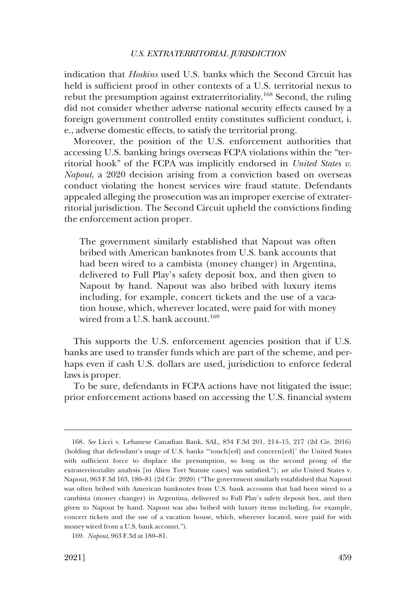indication that *Hoskins* used U.S. banks which the Second Circuit has held is sufficient proof in other contexts of a U.S. territorial nexus to rebut the presumption against extraterritoriality.168 Second, the ruling did not consider whether adverse national security effects caused by a foreign government controlled entity constitutes sufficient conduct, i. e., adverse domestic effects, to satisfy the territorial prong.

Moreover, the position of the U.S. enforcement authorities that accessing U.S. banking brings overseas FCPA violations within the "territorial hook" of the FCPA was implicitly endorsed in *United States v. Napout*, a 2020 decision arising from a conviction based on overseas conduct violating the honest services wire fraud statute. Defendants appealed alleging the prosecution was an improper exercise of extraterritorial jurisdiction. The Second Circuit upheld the convictions finding the enforcement action proper.

The government similarly established that Napout was often bribed with American banknotes from U.S. bank accounts that had been wired to a cambista (money changer) in Argentina, delivered to Full Play's safety deposit box, and then given to Napout by hand. Napout was also bribed with luxury items including, for example, concert tickets and the use of a vacation house, which, wherever located, were paid for with money wired from a U.S. bank account.<sup>169</sup>

This supports the U.S. enforcement agencies position that if U.S. banks are used to transfer funds which are part of the scheme, and perhaps even if cash U.S. dollars are used, jurisdiction to enforce federal laws is proper.

To be sure, defendants in FCPA actions have not litigated the issue; prior enforcement actions based on accessing the U.S. financial system

<sup>168.</sup> *See* Licci v. Lebanese Canadian Bank, SAL, 834 F.3d 201, 214–15, 217 (2d Cir. 2016) (holding that defendant's usage of U.S. banks "'touch[ed] and concern[ed]' the United States with sufficient force to displace the presumption, so long as the second prong of the extraterritoriality analysis [in Alien Tort Statute cases] was satisfied."); *see also* United States v. Napout, 963 F.3d 163, 180–81 (2d Cir. 2020) ("The government similarly established that Napout was often bribed with American banknotes from U.S. bank accounts that had been wired to a cambista (money changer) in Argentina, delivered to Full Play's safety deposit box, and then given to Napout by hand. Napout was also bribed with luxury items including, for example, concert tickets and the use of a vacation house, which, wherever located, were paid for with money wired from a U.S. bank account.").

<sup>169.</sup> *Napout*, 963 F.3d at 180–81.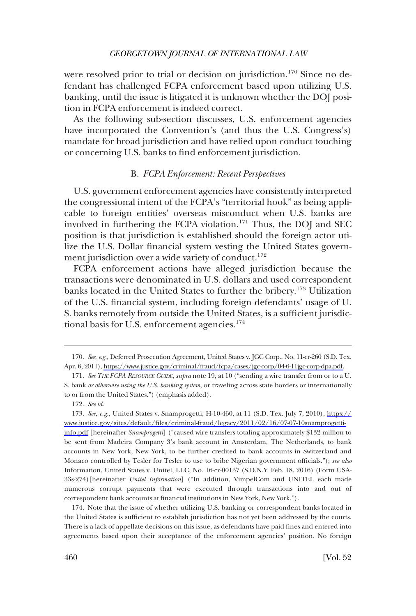<span id="page-33-0"></span>were resolved prior to trial or decision on jurisdiction.<sup>170</sup> Since no defendant has challenged FCPA enforcement based upon utilizing U.S. banking, until the issue is litigated it is unknown whether the DOJ position in FCPA enforcement is indeed correct.

As the following sub-section discusses, U.S. enforcement agencies have incorporated the Convention's (and thus the U.S. Congress's) mandate for broad jurisdiction and have relied upon conduct touching or concerning U.S. banks to find enforcement jurisdiction.

#### B. *FCPA Enforcement: Recent Perspectives*

U.S. government enforcement agencies have consistently interpreted the congressional intent of the FCPA's "territorial hook" as being applicable to foreign entities' overseas misconduct when U.S. banks are involved in furthering the FCPA violation.<sup>171</sup> Thus, the DOJ and SEC position is that jurisdiction is established should the foreign actor utilize the U.S. Dollar financial system vesting the United States government jurisdiction over a wide variety of conduct.<sup>172</sup>

FCPA enforcement actions have alleged jurisdiction because the transactions were denominated in U.S. dollars and used correspondent banks located in the United States to further the bribery.<sup>173</sup> Utilization of the U.S. financial system, including foreign defendants' usage of U. S. banks remotely from outside the United States, is a sufficient jurisdictional basis for U.S. enforcement agencies.<sup>174</sup>

172. *See id.* 

174. Note that the issue of whether utilizing U.S. banking or correspondent banks located in the United States is sufficient to establish jurisdiction has not yet been addressed by the courts. There is a lack of appellate decisions on this issue, as defendants have paid fines and entered into agreements based upon their acceptance of the enforcement agencies' position. No foreign

<sup>170.</sup> See, e.g., Deferred Prosecution Agreement, United States v. JGC Corp., No. 11-cr-260 (S.D. Tex. Apr. 6, 2011), [https://www.justice.gov/criminal/fraud/fcpa/cases/jgc-corp/04-6-11jgc-corp-dpa.pdf.](https://www.justice.gov/criminal/fraud/fcpa/cases/jgc-corp/04-6-11jgc-corp-dpa.pdf)

<sup>171.</sup> *See THE FCPA RESOURCE GUIDE*, *supra* note 19, at 10 ("sending a wire transfer from or to a U. S. bank *or otherwise using the U.S. banking system*, or traveling across state borders or internationally to or from the United States.") (emphasis added).

<sup>173.</sup> See, e.g., United States v. Snamprogetti, H-10-460, at 11 (S.D. Tex. July 7, 2010), https:// [www.justice.gov/sites/default/files/criminal-fraud/legacy/2011/02/16/07-07-10snamprogetti](https://www.justice.gov/sites/default/files/criminal-fraud/legacy/2011/02/16/07-07-10snamprogetti-info.pdf)[info.pdf](https://www.justice.gov/sites/default/files/criminal-fraud/legacy/2011/02/16/07-07-10snamprogetti-info.pdf) [hereinafter *Snamprogetti*] ("caused wire transfers totaling approximately \$132 million to be sent from Madeira Company 3's bank account in Amsterdam, The Netherlands, to bank accounts in New York, New York, to be further credited to bank accounts in Switzerland and Monaco controlled by Tesler for Tesler to use to bribe Nigerian government officials."); *see also*  Information, United States v. Unitel, LLC, No. 16-cr-00137 (S.D.N.Y. Feb. 18, 2016) (Form USA-33s-274)[hereinafter *Unitel Information*] ("In addition, VimpelCom and UNITEL each made numerous corrupt payments that were executed through transactions into and out of correspondent bank accounts at financial institutions in New York, New York.").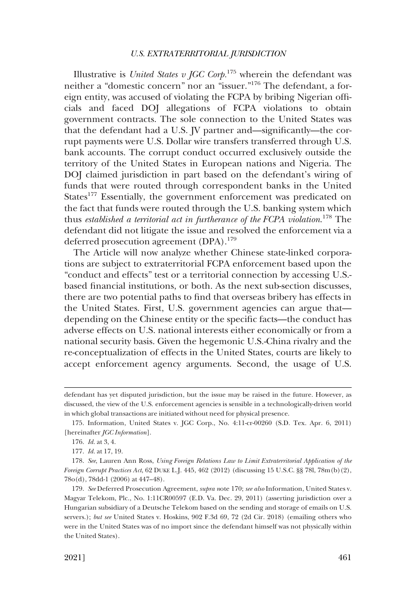Illustrative is *United States v JGC Corp*.<sup>175</sup> wherein the defendant was neither a "domestic concern" nor an "issuer."176 The defendant, a foreign entity, was accused of violating the FCPA by bribing Nigerian officials and faced DOJ allegations of FCPA violations to obtain government contracts. The sole connection to the United States was that the defendant had a U.S. JV partner and—significantly—the corrupt payments were U.S. Dollar wire transfers transferred through U.S. bank accounts. The corrupt conduct occurred exclusively outside the territory of the United States in European nations and Nigeria. The DOJ claimed jurisdiction in part based on the defendant's wiring of funds that were routed through correspondent banks in the United States<sup>177</sup> Essentially, the government enforcement was predicated on the fact that funds were routed through the U.S. banking system which thus *established a territorial act in furtherance of the FCPA violation*. 178 The defendant did not litigate the issue and resolved the enforcement via a deferred prosecution agreement (DPA).<sup>179</sup>

The Article will now analyze whether Chinese state-linked corporations are subject to extraterritorial FCPA enforcement based upon the "conduct and effects" test or a territorial connection by accessing U.S. based financial institutions, or both. As the next sub-section discusses, there are two potential paths to find that overseas bribery has effects in the United States. First, U.S. government agencies can argue that depending on the Chinese entity or the specific facts—the conduct has adverse effects on U.S. national interests either economically or from a national security basis. Given the hegemonic U.S.-China rivalry and the re-conceptualization of effects in the United States, courts are likely to accept enforcement agency arguments. Second, the usage of U.S.

defendant has yet disputed jurisdiction, but the issue may be raised in the future. However, as discussed, the view of the U.S. enforcement agencies is sensible in a technologically-driven world in which global transactions are initiated without need for physical presence.

<sup>175.</sup> Information, United States v. JGC Corp., No. 4:11-cr-00260 (S.D. Tex. Apr. 6, 2011) [hereinafter *JGC Information*].

<sup>176.</sup> *Id.* at 3, 4.

<sup>177.</sup> *Id.* at 17, 19.

<sup>178.</sup> *See*, Lauren Ann Ross, *Using Foreign Relations Law to Limit Extraterritorial Application of the Foreign Corrupt Practices Act*, 62 DUKE L.J. 445, 462 (2012) (discussing 15 U.S.C. §§ 78l, 78m(b)(2), 78o(d), 78dd-1 (2006) at 447–48).

<sup>179.</sup> *See* Deferred Prosecution Agreement, *supra n*ote 170; *see also* Information, United States v. Magyar Telekom, Plc., No. 1:11CR00597 (E.D. Va. Dec. 29, 2011) (asserting jurisdiction over a Hungarian subsidiary of a Deutsche Telekom based on the sending and storage of emails on U.S. servers.); *but see* United States v. Hoskins, 902 F.3d 69, 72 (2d Cir. 2018) (emailing others who were in the United States was of no import since the defendant himself was not physically within the United States).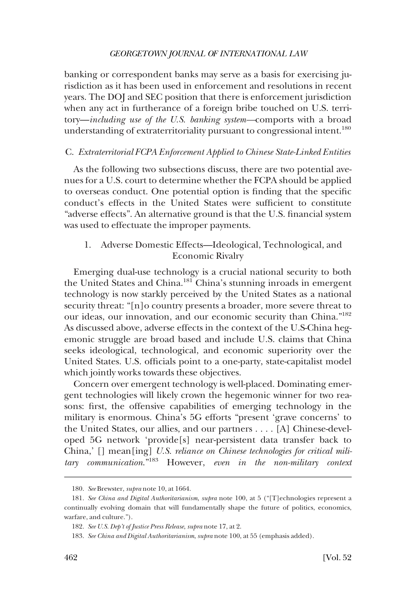<span id="page-35-0"></span>banking or correspondent banks may serve as a basis for exercising jurisdiction as it has been used in enforcement and resolutions in recent years. The DOJ and SEC position that there is enforcement jurisdiction when any act in furtherance of a foreign bribe touched on U.S. territory—*including use of the U.S. banking system—*comports with a broad understanding of extraterritoriality pursuant to congressional intent.<sup>180</sup>

### C. *Extraterritorial FCPA Enforcement Applied to Chinese State-Linked Entities*

As the following two subsections discuss, there are two potential avenues for a U.S. court to determine whether the FCPA should be applied to overseas conduct. One potential option is finding that the specific conduct's effects in the United States were sufficient to constitute "adverse effects". An alternative ground is that the U.S. financial system was used to effectuate the improper payments.

# 1. Adverse Domestic Effects—Ideological, Technological, and Economic Rivalry

Emerging dual-use technology is a crucial national security to both the United States and China.181 China's stunning inroads in emergent technology is now starkly perceived by the United States as a national security threat: "[n]o country presents a broader, more severe threat to our ideas, our innovation, and our economic security than China."<sup>182</sup> As discussed above, adverse effects in the context of the U.S-China hegemonic struggle are broad based and include U.S. claims that China seeks ideological, technological, and economic superiority over the United States. U.S. officials point to a one-party, state-capitalist model which jointly works towards these objectives.

Concern over emergent technology is well-placed. Dominating emergent technologies will likely crown the hegemonic winner for two reasons: first, the offensive capabilities of emerging technology in the military is enormous. China's 5G efforts "present 'grave concerns' to the United States, our allies, and our partners . . . . [A] Chinese-developed 5G network 'provide[s] near-persistent data transfer back to China,' [] mean[ing] *U.S. reliance on Chinese technologies for critical military communication*."183 However, *even in the non-military context* 

<sup>180.</sup> *See* Brewster, *supra* note 10, at 1664.

<sup>181.</sup> *See China and Digital Authoritarianism*, *supra* note 100, at 5 ("[T]echnologies represent a continually evolving domain that will fundamentally shape the future of politics, economics, warfare, and culture.").

<sup>182.</sup> *See U.S. Dep't of Justice Press Release*, *supra* note 17, at 2.

<sup>183.</sup> *See China and Digital Authoritarianism*, *supra* note 100, at 55 (emphasis added).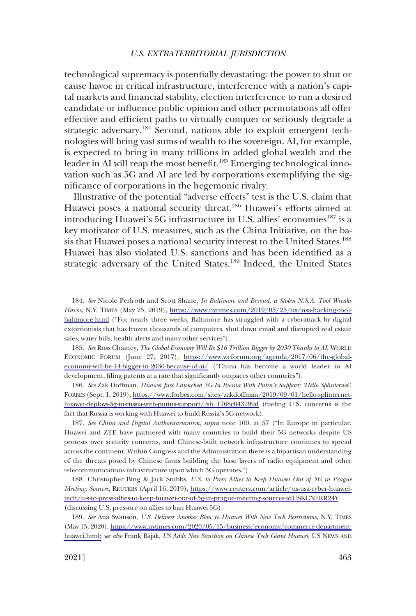technological supremacy is potentially devastating: the power to shut or cause havoc in critical infrastructure, interference with a nation's capital markets and financial stability, election interference to run a desired candidate or influence public opinion and other permutations all offer effective and efficient paths to virtually conquer or seriously degrade a strategic adversary.<sup>184</sup> Second, nations able to exploit emergent technologies will bring vast sums of wealth to the sovereign. AI, for example, is expected to bring in many trillions in added global wealth and the leader in AI will reap the most benefit.<sup>185</sup> Emerging technological innovation such as 5G and AI are led by corporations exemplifying the significance of corporations in the hegemonic rivalry.

Illustrative of the potential "adverse effects" test is the U.S. claim that Huawei poses a national security threat.<sup>186</sup> Huawei's efforts aimed at introducing Huawei's 5G infrastructure in U.S. allies' economies<sup>187</sup> is a key motivator of U.S. measures, such as the China Initiative, on the basis that Huawei poses a national security interest to the United States.<sup>188</sup> Huawei has also violated U.S. sanctions and has been identified as a strategic adversary of the United States.<sup>189</sup> Indeed, the United States

*See* Ross Chainey, *The Global Economy Will Be \$16 Trillion Bigger by 2030 Thanks to AI*, WORLD 185. ECONOMIC FORUM (June 27, 2017), [https://www.weforum.org/agenda/2017/06/the-global](https://www.weforum.org/agenda/2017/06/the-global-economy-will-be-14-bigger-in-2030-because-of-ai/)[economy-will-be-14-bigger-in-2030-because-of-ai/](https://www.weforum.org/agenda/2017/06/the-global-economy-will-be-14-bigger-in-2030-because-of-ai/) ("China has become a world leader in AI development, filing patents at a rate that significantly outpaces other countries").

*See* Zak Doffman, *Huawei Just Launched 5G In Russia With Putin's Support: 'Hello Splinternet'*, 186. FORBES (Sept. 1, 2019), [https://www.forbes.com/sites/zakdoffman/2019/09/01/hello-splinternet](https://www.forbes.com/sites/zakdoffman/2019/09/01/hello-splinternet-huawei-deploys-5g-in-russia-with-putins-support/?sh=1768c043199d)[huawei-deploys-5g-in-russia-with-putins-support/?sh=1768c043199d](https://www.forbes.com/sites/zakdoffman/2019/09/01/hello-splinternet-huawei-deploys-5g-in-russia-with-putins-support/?sh=1768c043199d) (fueling U.S. concerns is the fact that Russia is working with Huawei to build Russia's 5G network).

187. *See China and Digital Authoritarianism*, *supra* note 100, at 57 ("In Europe in particular, Huawei and ZTE have partnered with many countries to build their 5G networks despite US protests over security concerns, and Chinese-built network infrastructure continues to spread across the continent. Within Congress and the Administration there is a bipartisan understanding of the threats posed by Chinese firms building the base layers of radio equipment and other telecommunications infrastructure upon which 5G operates.").

188. Christopher Bing & Jack Stubbs, *U.S. to Press Allies to Keep Huawei Out of 5G in Prague Meeting: Sources*, REUTERS (April 16, 2019), [https://www.reuters.com/article/us-usa-cyber-huawei](https://www.reuters.com/article/us-usa-cyber-huawei-tech/u-s-to-press-allies-to-keep-huawei-out-of-5g-in-prague-meeting-sources-idUSKCN1RR24Y)[tech/u-s-to-press-allies-to-keep-huawei-out-of-5g-in-prague-meeting-sources-idUSKCN1RR24Y](https://www.reuters.com/article/us-usa-cyber-huawei-tech/u-s-to-press-allies-to-keep-huawei-out-of-5g-in-prague-meeting-sources-idUSKCN1RR24Y) (discussing U.S. pressure on allies to ban Huawei 5G).

189. *See* Ana Swanson, *U.S. Delivers Another Blow to Huawei With New Tech Restrictions*, N.Y. TIMES (May 15, 2020), [https://www.nytimes.com/2020/05/15/business/economy/commerce-department](https://www.nytimes.com/2020/05/15/business/economy/commerce-department-huawei.html)[huawei.html;](https://www.nytimes.com/2020/05/15/business/economy/commerce-department-huawei.html) *see also* Frank Bajak, *US Adds New Sanction on Chinese Tech Giant Huawei*, US NEWS AND

*See* Nicole Perlroth and Scott Shane, *In Baltimore and Beyond, a Stolen N.S.A. Tool Wreaks*  184. *Havoc*, N.Y. TIMES (May 25, 2019), [https://www.nytimes.com/2019/05/25/us/nsa-hacking-tool](https://www.nytimes.com/2019/05/25/us/nsa-hacking-tool-baltimore.html)[baltimore.html](https://www.nytimes.com/2019/05/25/us/nsa-hacking-tool-baltimore.html) ("For nearly three weeks, Baltimore has struggled with a cyberattack by digital extortionists that has frozen thousands of computers, shut down email and disrupted real estate sales, water bills, health alerts and many other services").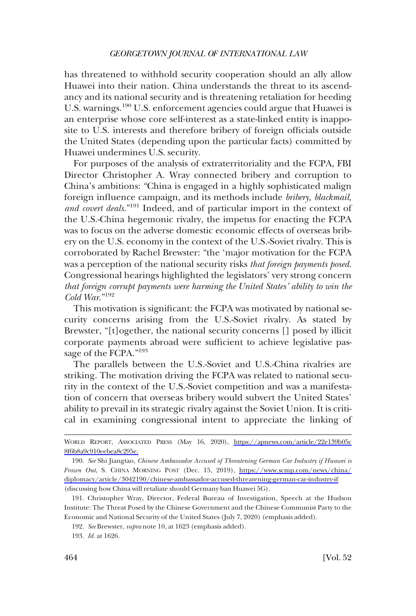has threatened to withhold security cooperation should an ally allow Huawei into their nation. China understands the threat to its ascendancy and its national security and is threatening retaliation for heeding U.S. warnings.<sup>190</sup> U.S. enforcement agencies could argue that Huawei is an enterprise whose core self-interest as a state-linked entity is inapposite to U.S. interests and therefore bribery of foreign officials outside the United States (depending upon the particular facts) committed by Huawei undermines U.S. security.

For purposes of the analysis of extraterritoriality and the FCPA, FBI Director Christopher A. Wray connected bribery and corruption to China's ambitions: "China is engaged in a highly sophisticated malign foreign influence campaign, and its methods include *bribery, blackmail, and covert deals*."191 Indeed, and of particular import in the context of the U.S.-China hegemonic rivalry, the impetus for enacting the FCPA was to focus on the adverse domestic economic effects of overseas bribery on the U.S. economy in the context of the U.S.-Soviet rivalry. This is corroborated by Rachel Brewster: "the 'major motivation for the FCPA was a perception of the national security risks *that foreign payments posed*. Congressional hearings highlighted the legislators' very strong concern *that foreign corrupt payments were harming the United States' ability to win the Cold War*."192

This motivation is significant: the FCPA was motivated by national security concerns arising from the U.S.-Soviet rivalry. As stated by Brewster, "[t]ogether, the national security concerns [] posed by illicit corporate payments abroad were sufficient to achieve legislative passage of the FCPA."193

The parallels between the U.S.-Soviet and U.S.-China rivalries are striking. The motivation driving the FCPA was related to national security in the context of the U.S.-Soviet competition and was a manifestation of concern that overseas bribery would subvert the United States' ability to prevail in its strategic rivalry against the Soviet Union. It is critical in examining congressional intent to appreciate the linking of

WORLD REPORT, ASSOCIATED PRESS (May 16, 2020), [https://apnews.com/article/22e139b05c](https://apnews.com/article/22e139b05c8f6b8a9c910eebea8c295e)  [8f6b8a9c910eebea8c295e.](https://apnews.com/article/22e139b05c8f6b8a9c910eebea8c295e) 

*See* Shi Jiangtao, *Chinese Ambassador Accused of Threatening German Car Industry if Huawei is*  190. *Frozen Out*, S. CHINA MORNING POST (Dec. 15, 2019), [https://www.scmp.com/news/china/](https://www.scmp.com/news/china/diplomacy/article/3042190/chinese-ambassador-accused-threatening-german-car-industry-if) [diplomacy/article/3042190/chinese-ambassador-accused-threatening-german-car-industry-if](https://www.scmp.com/news/china/diplomacy/article/3042190/chinese-ambassador-accused-threatening-german-car-industry-if) (discussing how China will retaliate should Germany ban Huawei 5G).

<sup>191.</sup> Christopher Wray, Director, Federal Bureau of Investigation, Speech at the Hudson Institute: The Threat Posed by the Chinese Government and the Chinese Communist Party to the Economic and National Security of the United States (July 7, 2020) (emphasis added).

<sup>192.</sup> *See* Brewster, *supra* note 10, at 1623 (emphasis added).

<sup>193.</sup> *Id.* at 1626.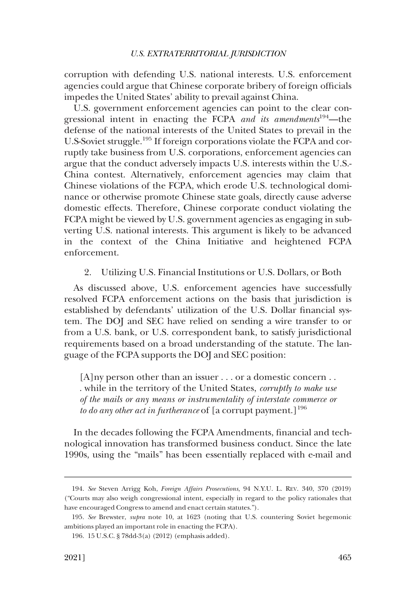<span id="page-38-0"></span>corruption with defending U.S. national interests. U.S. enforcement agencies could argue that Chinese corporate bribery of foreign officials impedes the United States' ability to prevail against China.

U.S. government enforcement agencies can point to the clear congressional intent in enacting the FCPA *and its amendments*194—the defense of the national interests of the United States to prevail in the U.S-Soviet struggle.195 If foreign corporations violate the FCPA and corruptly take business from U.S. corporations, enforcement agencies can argue that the conduct adversely impacts U.S. interests within the U.S.- China contest. Alternatively, enforcement agencies may claim that Chinese violations of the FCPA, which erode U.S. technological dominance or otherwise promote Chinese state goals, directly cause adverse domestic effects. Therefore, Chinese corporate conduct violating the FCPA might be viewed by U.S. government agencies as engaging in subverting U.S. national interests. This argument is likely to be advanced in the context of the China Initiative and heightened FCPA enforcement.

#### 2. Utilizing U.S. Financial Institutions or U.S. Dollars, or Both

As discussed above, U.S. enforcement agencies have successfully resolved FCPA enforcement actions on the basis that jurisdiction is established by defendants' utilization of the U.S. Dollar financial system. The DOJ and SEC have relied on sending a wire transfer to or from a U.S. bank, or U.S. correspondent bank, to satisfy jurisdictional requirements based on a broad understanding of the statute. The language of the FCPA supports the DOJ and SEC position:

[A]ny person other than an issuer . . . or a domestic concern . . . while in the territory of the United States, *corruptly to make use of the mails or any means or instrumentality of interstate commerce or to do any other act in furtherance* of [a corrupt payment.]<sup>196</sup>

In the decades following the FCPA Amendments, financial and technological innovation has transformed business conduct. Since the late 1990s, using the "mails" has been essentially replaced with e-mail and

<sup>194.</sup> *See* Steven Arrigg Koh, *Foreign Affairs Prosecutions*, 94 N.Y.U. L. REV. 340, 370 (2019) ("Courts may also weigh congressional intent, especially in regard to the policy rationales that have encouraged Congress to amend and enact certain statutes.").

<sup>195.</sup> *See* Brewster, *supra* note 10, at 1623 (noting that U.S. countering Soviet hegemonic ambitions played an important role in enacting the FCPA).

<sup>196. 15</sup> U.S.C. § 78dd-3(a) (2012) (emphasis added).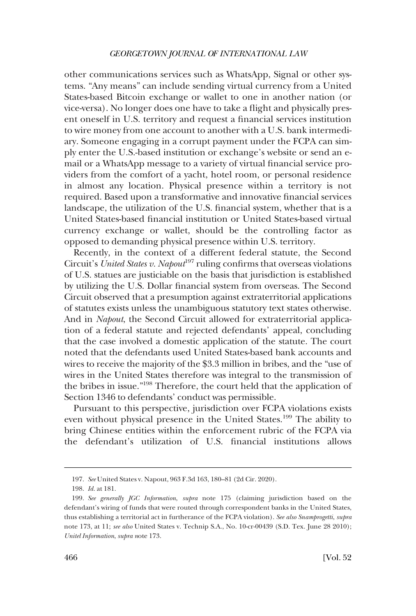other communications services such as WhatsApp, Signal or other systems. "Any means" can include sending virtual currency from a United States-based Bitcoin exchange or wallet to one in another nation (or vice-versa). No longer does one have to take a flight and physically present oneself in U.S. territory and request a financial services institution to wire money from one account to another with a U.S. bank intermediary. Someone engaging in a corrupt payment under the FCPA can simply enter the U.S.-based institution or exchange's website or send an email or a WhatsApp message to a variety of virtual financial service providers from the comfort of a yacht, hotel room, or personal residence in almost any location. Physical presence within a territory is not required. Based upon a transformative and innovative financial services landscape, the utilization of the U.S. financial system, whether that is a United States-based financial institution or United States-based virtual currency exchange or wallet, should be the controlling factor as opposed to demanding physical presence within U.S. territory.

Recently, in the context of a different federal statute, the Second Circuit's *United States v. Napout*<sup>197</sup> ruling confirms that overseas violations of U.S. statues are justiciable on the basis that jurisdiction is established by utilizing the U.S. Dollar financial system from overseas. The Second Circuit observed that a presumption against extraterritorial applications of statutes exists unless the unambiguous statutory text states otherwise. And in *Napout*, the Second Circuit allowed for extraterritorial application of a federal statute and rejected defendants' appeal, concluding that the case involved a domestic application of the statute. The court noted that the defendants used United States-based bank accounts and wires to receive the majority of the \$3.3 million in bribes, and the "use of wires in the United States therefore was integral to the transmission of the bribes in issue."198 Therefore, the court held that the application of Section 1346 to defendants' conduct was permissible.

Pursuant to this perspective, jurisdiction over FCPA violations exists even without physical presence in the United States.<sup>199</sup> The ability to bring Chinese entities within the enforcement rubric of the FCPA via the defendant's utilization of U.S. financial institutions allows

<sup>197.</sup> *See* United States v. Napout, 963 F.3d 163, 180–81 (2d Cir. 2020).

<sup>198.</sup> *Id.* at 181.

<sup>199.</sup> *See generally JGC Information*, *supra* note 175 (claiming jurisdiction based on the defendant's wiring of funds that were routed through correspondent banks in the United States, thus establishing a territorial act in furtherance of the FCPA violation). *See also Snamprogetti*, *supra*  note 173, at 11; *see also* United States v. Technip S.A., No. 10-cr-00439 (S.D. Tex. June 28 2010); *Unitel Information*, *supra n*ote 173.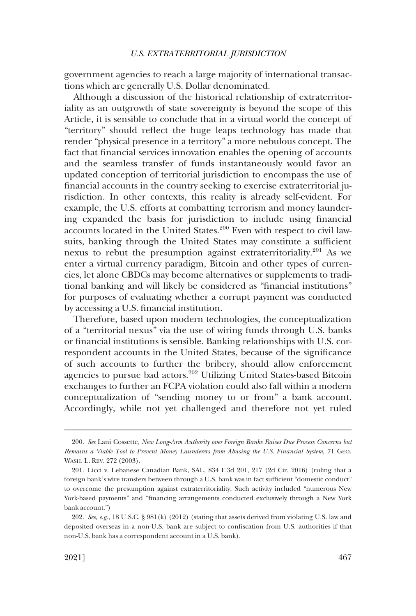government agencies to reach a large majority of international transactions which are generally U.S. Dollar denominated.

Although a discussion of the historical relationship of extraterritoriality as an outgrowth of state sovereignty is beyond the scope of this Article, it is sensible to conclude that in a virtual world the concept of "territory" should reflect the huge leaps technology has made that render "physical presence in a territory" a more nebulous concept. The fact that financial services innovation enables the opening of accounts and the seamless transfer of funds instantaneously would favor an updated conception of territorial jurisdiction to encompass the use of financial accounts in the country seeking to exercise extraterritorial jurisdiction. In other contexts, this reality is already self-evident. For example, the U.S. efforts at combatting terrorism and money laundering expanded the basis for jurisdiction to include using financial accounts located in the United States.<sup>200</sup> Even with respect to civil lawsuits, banking through the United States may constitute a sufficient nexus to rebut the presumption against extraterritoriality.<sup>201</sup> As we enter a virtual currency paradigm, Bitcoin and other types of currencies, let alone CBDCs may become alternatives or supplements to traditional banking and will likely be considered as "financial institutions" for purposes of evaluating whether a corrupt payment was conducted by accessing a U.S. financial institution.

Therefore, based upon modern technologies, the conceptualization of a "territorial nexus" via the use of wiring funds through U.S. banks or financial institutions is sensible. Banking relationships with U.S. correspondent accounts in the United States, because of the significance of such accounts to further the bribery, should allow enforcement agencies to pursue bad actors.202 Utilizing United States-based Bitcoin exchanges to further an FCPA violation could also fall within a modern conceptualization of "sending money to or from" a bank account. Accordingly, while not yet challenged and therefore not yet ruled

<sup>200.</sup> *See* Lani Cossette, *New Long-Arm Authority over Foreign Banks Raises Due Process Concerns but Remains a Viable Tool to Prevent Money Launderers from Abusing the U.S. Financial System*, 71 GEO. WASH. L. REV. 272 (2003).

<sup>201.</sup> Licci v. Lebanese Canadian Bank, SAL, 834 F.3d 201, 217 (2d Cir. 2016) (ruling that a foreign bank's wire transfers between through a U.S. bank was in fact sufficient "domestic conduct" to overcome the presumption against extraterritoriality. Such activity included "numerous New York-based payments" and "financing arrangements conducted exclusively through a New York bank account.")

<sup>202.</sup> *See, e.g.*, 18 U.S.C. § 981(k) (2012) (stating that assets derived from violating U.S. law and deposited overseas in a non-U.S. bank are subject to confiscation from U.S. authorities if that non-U.S. bank has a correspondent account in a U.S. bank).